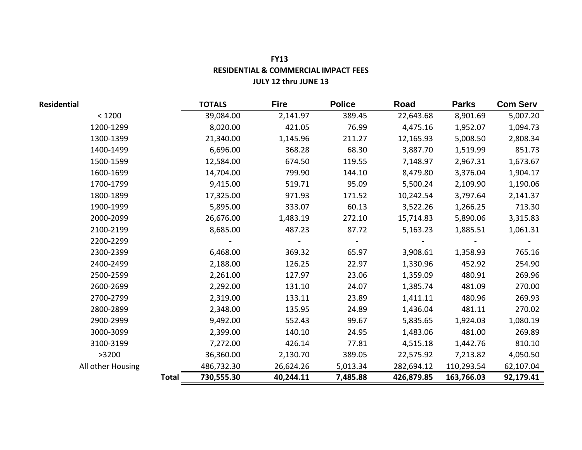| <b>FY13</b>                          |  |
|--------------------------------------|--|
| RESIDENTIAL & COMMERCIAL IMPACT FEES |  |
| <b>JULY 12 thru JUNE 13</b>          |  |

| <b>Residential</b> |              | <b>TOTALS</b> | <b>Fire</b> | <b>Police</b> | Road       | <b>Parks</b> | <b>Com Serv</b> |
|--------------------|--------------|---------------|-------------|---------------|------------|--------------|-----------------|
| < 1200             |              | 39,084.00     | 2,141.97    | 389.45        | 22,643.68  | 8,901.69     | 5,007.20        |
| 1200-1299          |              | 8,020.00      | 421.05      | 76.99         | 4,475.16   | 1,952.07     | 1,094.73        |
| 1300-1399          |              | 21,340.00     | 1,145.96    | 211.27        | 12,165.93  | 5,008.50     | 2,808.34        |
| 1400-1499          |              | 6,696.00      | 368.28      | 68.30         | 3,887.70   | 1,519.99     | 851.73          |
| 1500-1599          |              | 12,584.00     | 674.50      | 119.55        | 7,148.97   | 2,967.31     | 1,673.67        |
| 1600-1699          |              | 14,704.00     | 799.90      | 144.10        | 8,479.80   | 3,376.04     | 1,904.17        |
| 1700-1799          |              | 9,415.00      | 519.71      | 95.09         | 5,500.24   | 2,109.90     | 1,190.06        |
| 1800-1899          |              | 17,325.00     | 971.93      | 171.52        | 10,242.54  | 3,797.64     | 2,141.37        |
| 1900-1999          |              | 5,895.00      | 333.07      | 60.13         | 3,522.26   | 1,266.25     | 713.30          |
| 2000-2099          |              | 26,676.00     | 1,483.19    | 272.10        | 15,714.83  | 5,890.06     | 3,315.83        |
| 2100-2199          |              | 8,685.00      | 487.23      | 87.72         | 5,163.23   | 1,885.51     | 1,061.31        |
| 2200-2299          |              |               |             |               |            |              |                 |
| 2300-2399          |              | 6,468.00      | 369.32      | 65.97         | 3,908.61   | 1,358.93     | 765.16          |
| 2400-2499          |              | 2,188.00      | 126.25      | 22.97         | 1,330.96   | 452.92       | 254.90          |
| 2500-2599          |              | 2,261.00      | 127.97      | 23.06         | 1,359.09   | 480.91       | 269.96          |
| 2600-2699          |              | 2,292.00      | 131.10      | 24.07         | 1,385.74   | 481.09       | 270.00          |
| 2700-2799          |              | 2,319.00      | 133.11      | 23.89         | 1,411.11   | 480.96       | 269.93          |
| 2800-2899          |              | 2,348.00      | 135.95      | 24.89         | 1,436.04   | 481.11       | 270.02          |
| 2900-2999          |              | 9,492.00      | 552.43      | 99.67         | 5,835.65   | 1,924.03     | 1,080.19        |
| 3000-3099          |              | 2,399.00      | 140.10      | 24.95         | 1,483.06   | 481.00       | 269.89          |
| 3100-3199          |              | 7,272.00      | 426.14      | 77.81         | 4,515.18   | 1,442.76     | 810.10          |
| >3200              |              | 36,360.00     | 2,130.70    | 389.05        | 22,575.92  | 7,213.82     | 4,050.50        |
| All other Housing  |              | 486,732.30    | 26,624.26   | 5,013.34      | 282,694.12 | 110,293.54   | 62,107.04       |
|                    | <b>Total</b> | 730,555.30    | 40,244.11   | 7,485.88      | 426,879.85 | 163,766.03   | 92,179.41       |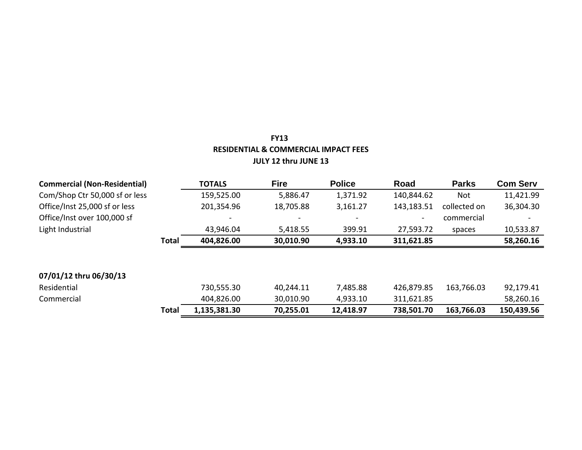| <b>Commercial (Non-Residential)</b> |              | <b>TOTALS</b> | <b>Fire</b> | <b>Police</b> | Road       | <b>Parks</b> | <b>Com Serv</b> |
|-------------------------------------|--------------|---------------|-------------|---------------|------------|--------------|-----------------|
| Com/Shop Ctr 50,000 sf or less      |              | 159,525.00    | 5,886.47    | 1,371.92      | 140,844.62 | Not          | 11,421.99       |
| Office/Inst 25,000 sf or less       |              | 201,354.96    | 18,705.88   | 3,161.27      | 143,183.51 | collected on | 36,304.30       |
| Office/Inst over 100,000 sf         |              |               |             |               |            | commercial   |                 |
| Light Industrial                    |              | 43,946.04     | 5,418.55    | 399.91        | 27,593.72  | spaces       | 10,533.87       |
|                                     | Total        | 404,826.00    | 30,010.90   | 4,933.10      | 311,621.85 |              | 58,260.16       |
|                                     |              |               |             |               |            |              |                 |
|                                     |              |               |             |               |            |              |                 |
| 07/01/12 thru 06/30/13              |              |               |             |               |            |              |                 |
| Residential                         |              | 730,555.30    | 40,244.11   | 7,485.88      | 426,879.85 | 163,766.03   | 92,179.41       |
| Commercial                          |              | 404,826.00    | 30,010.90   | 4,933.10      | 311,621.85 |              | 58,260.16       |
|                                     | <b>Total</b> | 1,135,381.30  | 70,255.01   | 12,418.97     | 738,501.70 | 163,766.03   | 150,439.56      |

# **FY13 RESIDENTIAL & COMMERCIAL IMPACT FEES JULY 12 thru JUNE 13**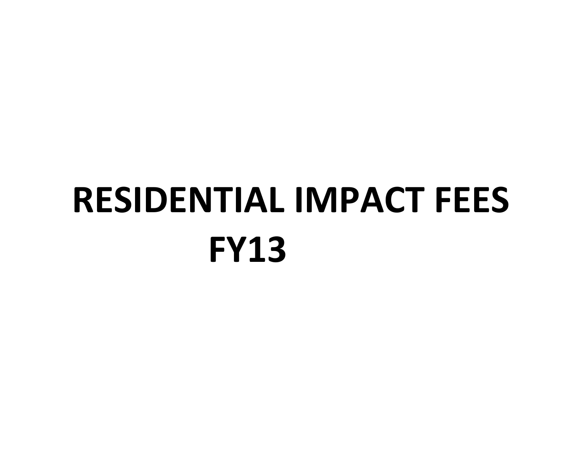# **FY13 RESIDENTIAL IMPACT FEES**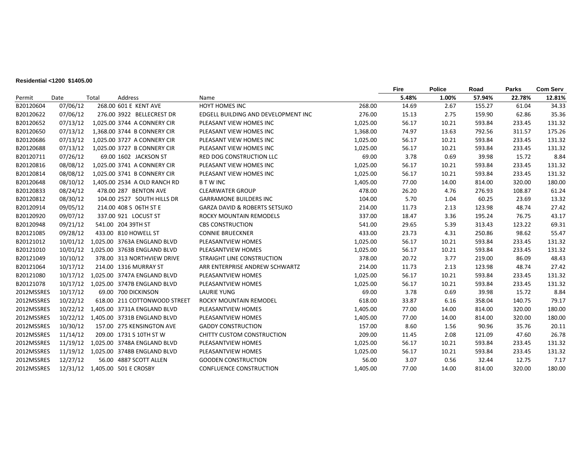#### **Residential <1200 \$1405.00**

|            |          |       |                                        |                                          |          | Fire  | <b>Police</b> | Road   | <b>Parks</b> | <b>Com Serv</b> |
|------------|----------|-------|----------------------------------------|------------------------------------------|----------|-------|---------------|--------|--------------|-----------------|
| Permit     | Date     | Total | Address                                | Name                                     |          | 5.48% | 1.00%         | 57.94% | 22.78%       | 12.81%          |
| B20120604  | 07/06/12 |       | 268.00 601 E KENT AVE                  | HOYT HOMES INC                           | 268.00   | 14.69 | 2.67          | 155.27 | 61.04        | 34.33           |
| B20120622  | 07/06/12 |       | 276.00 3922 BELLECREST DR              | EDGELL BUILDING AND DEVELOPMENT INC      | 276.00   | 15.13 | 2.75          | 159.90 | 62.86        | 35.36           |
| B20120652  | 07/13/12 |       | 1,025.00 3744 A CONNERY CIR            | PLEASANT VIEW HOMES INC                  | 1,025.00 | 56.17 | 10.21         | 593.84 | 233.45       | 131.32          |
| B20120650  | 07/13/12 |       | 1,368.00 3744 B CONNERY CIR            | PLEASANT VIEW HOMES INC                  | 1,368.00 | 74.97 | 13.63         | 792.56 | 311.57       | 175.26          |
| B20120686  | 07/13/12 |       | 1,025.00 3727 A CONNERY CIR            | PLEASANT VIEW HOMES INC                  | 1,025.00 | 56.17 | 10.21         | 593.84 | 233.45       | 131.32          |
| B20120688  | 07/13/12 |       | 1,025.00 3727 B CONNERY CIR            | PLEASANT VIEW HOMES INC                  | 1,025.00 | 56.17 | 10.21         | 593.84 | 233.45       | 131.32          |
| B20120711  | 07/26/12 |       | 69.00 1602 JACKSON ST                  | <b>RED DOG CONSTRUCTION LLC</b>          | 69.00    | 3.78  | 0.69          | 39.98  | 15.72        | 8.84            |
| B20120816  | 08/08/12 |       | 1,025.00 3741 A CONNERY CIR            | PLEASANT VIEW HOMES INC                  | 1,025.00 | 56.17 | 10.21         | 593.84 | 233.45       | 131.32          |
| B20120814  | 08/08/12 |       | 1,025.00 3741 B CONNERY CIR            | PLEASANT VIEW HOMES INC                  | 1,025.00 | 56.17 | 10.21         | 593.84 | 233.45       | 131.32          |
| B20120648  | 08/10/12 |       | 1,405.00 2534 A OLD RANCH RD           | <b>BTWINC</b>                            | 1,405.00 | 77.00 | 14.00         | 814.00 | 320.00       | 180.00          |
| B20120833  | 08/24/12 |       | 478.00 287 BENTON AVE                  | <b>CLEARWATER GROUP</b>                  | 478.00   | 26.20 | 4.76          | 276.93 | 108.87       | 61.24           |
| B20120812  | 08/30/12 |       | 104.00 2527 SOUTH HILLS DR             | <b>GARRAMONE BUILDERS INC</b>            | 104.00   | 5.70  | 1.04          | 60.25  | 23.69        | 13.32           |
| B20120914  | 09/05/12 |       | 214.00 408 S 06TH ST E                 | <b>GARZA DAVID &amp; ROBERTS SETSUKO</b> | 214.00   | 11.73 | 2.13          | 123.98 | 48.74        | 27.42           |
| B20120920  | 09/07/12 |       | 337.00 921 LOCUST ST                   | <b>ROCKY MOUNTAIN REMODELS</b>           | 337.00   | 18.47 | 3.36          | 195.24 | 76.75        | 43.17           |
| B20120948  | 09/21/12 |       | 541.00 204 39TH ST                     | <b>CBS CONSTRUCTION</b>                  | 541.00   | 29.65 | 5.39          | 313.43 | 123.22       | 69.31           |
| B20121085  | 09/28/12 |       | 433.00 810 HOWELL ST                   | <b>CONNIE BRUECKNER</b>                  | 433.00   | 23.73 | 4.31          | 250.86 | 98.62        | 55.47           |
| B20121012  | 10/01/12 |       | 1,025.00 3763A ENGLAND BLVD            | PLEASANTVIEW HOMES                       | 1,025.00 | 56.17 | 10.21         | 593.84 | 233.45       | 131.32          |
| B20121010  | 10/01/12 |       | 1,025.00 3763B ENGLAND BLVD            | PLEASANTVIEW HOMES                       | 1,025.00 | 56.17 | 10.21         | 593.84 | 233.45       | 131.32          |
| B20121049  | 10/10/12 |       | 378.00 313 NORTHVIEW DRIVE             | STRAIGHT LINE CONSTRUCTION               | 378.00   | 20.72 | 3.77          | 219.00 | 86.09        | 48.43           |
| B20121064  | 10/17/12 |       | 214.00 1316 MURRAY ST                  | ARR ENTERPRISE ANDREW SCHWARTZ           | 214.00   | 11.73 | 2.13          | 123.98 | 48.74        | 27.42           |
| B20121080  | 10/17/12 |       | 1,025.00 3747A ENGLAND BLVD            | PLEASANTVIEW HOMES                       | 1,025.00 | 56.17 | 10.21         | 593.84 | 233.45       | 131.32          |
| B20121078  | 10/17/12 |       | 1,025.00 3747B ENGLAND BLVD            | PLEASANTVIEW HOMES                       | 1,025.00 | 56.17 | 10.21         | 593.84 | 233.45       | 131.32          |
| 2012MSSRES | 10/17/12 |       | 69.00 700 DICKINSON                    | <b>LAURIE YUNG</b>                       | 69.00    | 3.78  | 0.69          | 39.98  | 15.72        | 8.84            |
| 2012MSSRES | 10/22/12 |       | 618.00 211 COTTONWOOD STREET           | ROCKY MOUNTAIN REMODEL                   | 618.00   | 33.87 | 6.16          | 358.04 | 140.75       | 79.17           |
| 2012MSSRES | 10/22/12 |       | 1,405.00 3731A ENGLAND BLVD            | PLEASANTVIEW HOMES                       | 1,405.00 | 77.00 | 14.00         | 814.00 | 320.00       | 180.00          |
| 2012MSSRES | 10/22/12 |       | 1,405.00 3731B ENGLAND BLVD            | PLEASANTVIEW HOMES                       | 1,405.00 | 77.00 | 14.00         | 814.00 | 320.00       | 180.00          |
| 2012MSSRES | 10/30/12 |       | 157.00 275 KENSINGTON AVE              | <b>GADDY CONSTRUCTION</b>                | 157.00   | 8.60  | 1.56          | 90.96  | 35.76        | 20.11           |
| 2012MSSRES | 11/14/12 |       | 209.00 1731 S 10TH ST W                | CHITTY CUSTOM CONSTRUCTION               | 209.00   | 11.45 | 2.08          | 121.09 | 47.60        | 26.78           |
| 2012MSSRES | 11/19/12 |       | 1,025.00 3748A ENGLAND BLVD            | PLEASANTVIEW HOMES                       | 1,025.00 | 56.17 | 10.21         | 593.84 | 233.45       | 131.32          |
| 2012MSSRES |          |       | 11/19/12  1,025.00  3748B ENGLAND BLVD | PLEASANTVIEW HOMES                       | 1,025.00 | 56.17 | 10.21         | 593.84 | 233.45       | 131.32          |
| 2012MSSRES | 12/27/12 |       | 56.00 4887 SCOTT ALLEN                 | <b>GOODEN CONSTRUCTION</b>               | 56.00    | 3.07  | 0.56          | 32.44  | 12.75        | 7.17            |
| 2012MSSRES |          |       | 12/31/12  1,405.00  501 E CROSBY       | <b>CONFLUENCE CONSTRUCTION</b>           | 1,405.00 | 77.00 | 14.00         | 814.00 | 320.00       | 180.00          |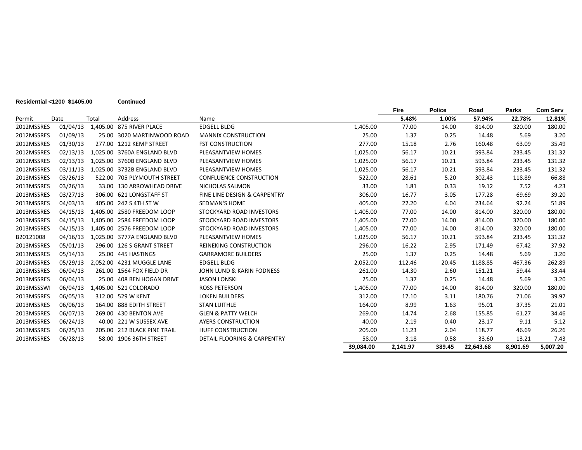|            |          |       |                             |                                         |           | <b>Fire</b> | <b>Police</b> | Road      | <b>Parks</b> | <b>Com Serv</b> |
|------------|----------|-------|-----------------------------|-----------------------------------------|-----------|-------------|---------------|-----------|--------------|-----------------|
| Permit     | Date     | Total | Address                     | Name                                    |           | 5.48%       | 1.00%         | 57.94%    | 22.78%       | 12.81%          |
| 2012MSSRES | 01/04/13 |       | 1,405.00 875 RIVER PLACE    | <b>EDGELL BLDG</b>                      | 1,405.00  | 77.00       | 14.00         | 814.00    | 320.00       | 180.00          |
| 2012MSSRES | 01/09/13 |       | 25.00 3020 MARTINWOOD ROAD  | <b>MANNIX CONSTRUCTION</b>              | 25.00     | 1.37        | 0.25          | 14.48     | 5.69         | 3.20            |
| 2012MSSRES | 01/30/13 |       | 277.00 1212 KEMP STREET     | <b>FST CONSTRUCTION</b>                 | 277.00    | 15.18       | 2.76          | 160.48    | 63.09        | 35.49           |
| 2012MSSRES | 02/13/13 |       | 1,025.00 3760A ENGLAND BLVD | PLEASANTVIEW HOMES                      | 1,025.00  | 56.17       | 10.21         | 593.84    | 233.45       | 131.32          |
| 2012MSSRES | 02/13/13 |       | 1,025.00 3760B ENGLAND BLVD | PLEASANTVIEW HOMES                      | 1,025.00  | 56.17       | 10.21         | 593.84    | 233.45       | 131.32          |
| 2012MSSRES | 03/11/13 |       | 1,025.00 3732B ENGLAND BLVD | PLEASANTVIEW HOMES                      | 1,025.00  | 56.17       | 10.21         | 593.84    | 233.45       | 131.32          |
| 2013MSSRES | 03/26/13 |       | 522.00 705 PLYMOUTH STREET  | <b>CONFLUENCE CONSTRUCTION</b>          | 522.00    | 28.61       | 5.20          | 302.43    | 118.89       | 66.88           |
| 2013MSSRES | 03/26/13 |       | 33.00 130 ARROWHEAD DRIVE   | NICHOLAS SALMON                         | 33.00     | 1.81        | 0.33          | 19.12     | 7.52         | 4.23            |
| 2013MSSRES | 03/27/13 |       | 306.00 621 LONGSTAFF ST     | <b>FINE LINE DESIGN &amp; CARPENTRY</b> | 306.00    | 16.77       | 3.05          | 177.28    | 69.69        | 39.20           |
| 2013MSSRES | 04/03/13 |       | 405.00 242 S 4TH ST W       | SEDMAN'S HOME                           | 405.00    | 22.20       | 4.04          | 234.64    | 92.24        | 51.89           |
| 2013MSSRES | 04/15/13 |       | 1,405.00 2580 FREEDOM LOOP  | STOCKYARD ROAD INVESTORS                | 1,405.00  | 77.00       | 14.00         | 814.00    | 320.00       | 180.00          |
| 2013MSSRES | 04/15/13 |       | 1,405.00 2584 FREEDOM LOOP  | STOCKYARD ROAD INVESTORS                | 1,405.00  | 77.00       | 14.00         | 814.00    | 320.00       | 180.00          |
| 2013MSSRES | 04/15/13 |       | 1.405.00 2576 FREEDOM LOOP  | STOCKYARD ROAD INVESTORS                | 1,405.00  | 77.00       | 14.00         | 814.00    | 320.00       | 180.00          |
| B20121008  | 04/16/13 |       | 1,025.00 3777A ENGLAND BLVD | PLEASANTVIEW HOMES                      | 1,025.00  | 56.17       | 10.21         | 593.84    | 233.45       | 131.32          |
| 2013MSSRES | 05/01/13 |       | 296.00 126 S GRANT STREET   | <b>REINEKING CONSTRUCTION</b>           | 296.00    | 16.22       | 2.95          | 171.49    | 67.42        | 37.92           |
| 2013MSSRES | 05/14/13 |       | 25.00 445 HASTINGS          | <b>GARRAMORE BUILDERS</b>               | 25.00     | 1.37        | 0.25          | 14.48     | 5.69         | 3.20            |
| 2013MSSRES | 05/29/13 |       | 2,052.00 4231 MUGGLE LANE   | <b>EDGELL BLDG</b>                      | 2,052.00  | 112.46      | 20.45         | 1188.85   | 467.36       | 262.89          |
| 2013MSSRES | 06/04/13 |       | 261.00 1564 FOX FIELD DR    | JOHN LUND & KARIN FODNESS               | 261.00    | 14.30       | 2.60          | 151.21    | 59.44        | 33.44           |
| 2013MSSRES | 06/04/13 |       | 25.00 408 BEN HOGAN DRIVE   | <b>JASON LONSKI</b>                     | 25.00     | 1.37        | 0.25          | 14.48     | 5.69         | 3.20            |
| 2013MSSSWI | 06/04/13 |       | 1,405.00 521 COLORADO       | <b>ROSS PETERSON</b>                    | 1,405.00  | 77.00       | 14.00         | 814.00    | 320.00       | 180.00          |
| 2013MSSRES | 06/05/13 |       | 312.00 529 W KENT           | <b>LOKEN BUILDERS</b>                   | 312.00    | 17.10       | 3.11          | 180.76    | 71.06        | 39.97           |
| 2013MSSRES | 06/06/13 |       | 164.00 888 EDITH STREET     | <b>STAN LUITHLE</b>                     | 164.00    | 8.99        | 1.63          | 95.01     | 37.35        | 21.01           |
| 2013MSSRES | 06/07/13 |       | 269.00 430 BENTON AVE       | <b>GLEN &amp; PATTY WELCH</b>           | 269.00    | 14.74       | 2.68          | 155.85    | 61.27        | 34.46           |
| 2013MSSRES | 06/24/13 |       | 40.00 221 W SUSSEX AVE      | <b>AYERS CONSTRUCTION</b>               | 40.00     | 2.19        | 0.40          | 23.17     | 9.11         | 5.12            |
| 2013MSSRES | 06/25/13 |       | 205.00 212 BLACK PINE TRAIL | HUFF CONSTRUCTION                       | 205.00    | 11.23       | 2.04          | 118.77    | 46.69        | 26.26           |
| 2013MSSRES | 06/28/13 |       | 58.00 1906 36TH STREET      | DETAIL FLOORING & CARPENTRY             | 58.00     | 3.18        | 0.58          | 33.60     | 13.21        | 7.43            |
|            |          |       |                             |                                         | 39.084.00 | 2.141.97    | 389.45        | 22,643.68 | 8,901.69     | 5,007.20        |

**Residential <1200 \$1405.00 Continued**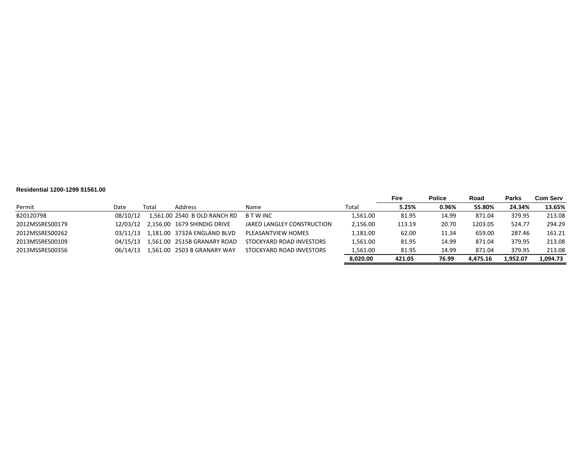#### **Residential 1200-1299 \$1561.00**

|                 |          |       |                              |                            |          | <b>Fire</b> | <b>Police</b> | Road     | <b>Parks</b> | <b>Com Serv</b> |
|-----------------|----------|-------|------------------------------|----------------------------|----------|-------------|---------------|----------|--------------|-----------------|
| Permit          | Date     | Total | Address                      | Name                       | Total    | 5.25%       | 0.96%         | 55.80%   | 24.34%       | 13.65%          |
| B20120798       | 08/10/12 |       | 1,561.00 2540 B OLD RANCH RD | <b>BTWINC</b>              | 1,561.00 | 81.95       | 14.99         | 871.04   | 379.95       | 213.08          |
| 2012MSSRES00179 | 12/03/12 |       | 2.156.00 1679 SHINDIG DRIVE  | JARED LANGLEY CONSTRUCTION | 2,156.00 | 113.19      | 20.70         | 1203.05  | 524.77       | 294.29          |
| 2012MSSRES00262 | 03/11/13 |       | 1.181.00 3732A ENGLAND BLVD  | PLEASANTVIEW HOMES         | 1,181.00 | 62.00       | 11.34         | 659.00   | 287.46       | 161.21          |
| 2013MSSRES00109 | 04/15/13 |       | 1.561.00 2515B GRANARY ROAD  | STOCKYARD ROAD INVESTORS   | 1,561.00 | 81.95       | 14.99         | 871.04   | 379.95       | 213.08          |
| 2013MSSRES00356 | 06/14/13 |       | 1.561.00 2503 B GRANARY WAY  | STOCKYARD ROAD INVESTORS   | 1,561.00 | 81.95       | 14.99         | 871.04   | 379.95       | 213.08          |
|                 |          |       |                              |                            | 8.020.00 | 421.05      | 76.99         | 4.475.16 | L.952.07     | 1.094.73        |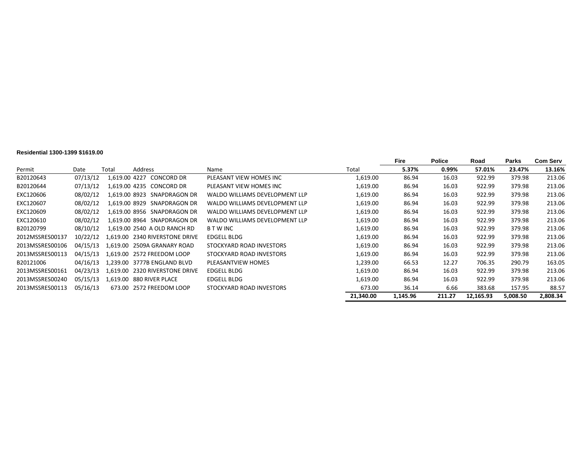#### **Residential 1300-1399 \$1619.00**

|                 |          |       |                                |                                |           | Fire     | <b>Police</b> | Road      | Parks    | <b>Com Serv</b> |
|-----------------|----------|-------|--------------------------------|--------------------------------|-----------|----------|---------------|-----------|----------|-----------------|
| Permit          | Date     | Total | <b>Address</b>                 | Name                           | Total     | 5.37%    | 0.99%         | 57.01%    | 23.47%   | 13.16%          |
| B20120643       | 07/13/12 |       | 1,619.00 4227 CONCORD DR       | PLEASANT VIEW HOMES INC        | 1,619.00  | 86.94    | 16.03         | 922.99    | 379.98   | 213.06          |
| B20120644       | 07/13/12 |       | 1.619.00 4235 CONCORD DR       | PLEASANT VIEW HOMES INC        | 1,619.00  | 86.94    | 16.03         | 922.99    | 379.98   | 213.06          |
| EXC120606       | 08/02/12 |       | 1.619.00 8923 SNAPDRAGON DR    | WALDO WILLIAMS DEVELOPMENT LLP | 1,619.00  | 86.94    | 16.03         | 922.99    | 379.98   | 213.06          |
| EXC120607       | 08/02/12 |       | 1.619.00 8929 SNAPDRAGON DR    | WALDO WILLIAMS DEVELOPMENT LLP | 1,619.00  | 86.94    | 16.03         | 922.99    | 379.98   | 213.06          |
| EXC120609       | 08/02/12 |       | 1.619.00 8956 SNAPDRAGON DR    | WALDO WILLIAMS DEVELOPMENT LLP | 1,619.00  | 86.94    | 16.03         | 922.99    | 379.98   | 213.06          |
| EXC120610       | 08/02/12 |       | 1.619.00 8964 SNAPDRAGON DR    | WALDO WILLIAMS DEVELOPMENT LLP | 1,619.00  | 86.94    | 16.03         | 922.99    | 379.98   | 213.06          |
| B20120799       | 08/10/12 |       | 1.619.00 2540 A OLD RANCH RD   | <b>B T W INC</b>               | 1,619.00  | 86.94    | 16.03         | 922.99    | 379.98   | 213.06          |
| 2012MSSRES00137 | 10/22/12 |       | 1.619.00 2340 RIVERSTONE DRIVE | EDGELL BLDG                    | 1,619.00  | 86.94    | 16.03         | 922.99    | 379.98   | 213.06          |
| 2013MSSRES00106 | 04/15/13 |       | 1.619.00 2509A GRANARY ROAD    | STOCKYARD ROAD INVESTORS       | 1,619.00  | 86.94    | 16.03         | 922.99    | 379.98   | 213.06          |
| 2013MSSRES00113 | 04/15/13 |       | 1.619.00 2572 FREEDOM LOOP     | STOCKYARD ROAD INVESTORS       | 1,619.00  | 86.94    | 16.03         | 922.99    | 379.98   | 213.06          |
| B20121006       | 04/16/13 |       | 1.239.00 3777B ENGLAND BLVD    | PLEASANTVIEW HOMES             | 1,239.00  | 66.53    | 12.27         | 706.35    | 290.79   | 163.05          |
| 2013MSSRES00161 | 04/23/13 |       | 1.619.00 2320 RIVERSTONE DRIVE | EDGELL BLDG                    | 1,619.00  | 86.94    | 16.03         | 922.99    | 379.98   | 213.06          |
| 2013MSSRES00240 | 05/15/13 |       | 1,619.00 880 RIVER PLACE       | EDGELL BLDG                    | 1,619.00  | 86.94    | 16.03         | 922.99    | 379.98   | 213.06          |
| 2013MSSRES00113 | 05/16/13 |       | 673.00 2572 FREEDOM LOOP       | STOCKYARD ROAD INVESTORS       | 673.00    | 36.14    | 6.66          | 383.68    | 157.95   | 88.57           |
|                 |          |       |                                |                                | 21.340.00 | 1.145.96 | 211.27        | 12.165.93 | 5.008.50 | 2,808.34        |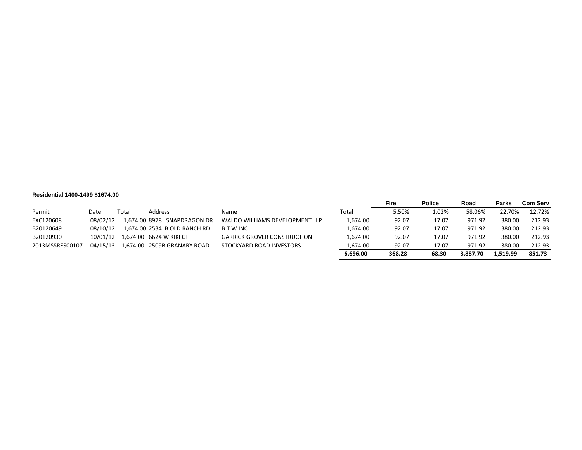#### **Residential 1400-1499 \$1674.00**

|                 |          |       |                                    |                                    |          | Fire   | <b>Police</b> | Road     | <b>Parks</b> | <b>Com Serv</b> |
|-----------------|----------|-------|------------------------------------|------------------------------------|----------|--------|---------------|----------|--------------|-----------------|
| Permit          | Date     | Total | Address                            | Name                               | Total    | 5.50%  | 1.02%         | 58.06%   | 22.70%       | 12.72%          |
| EXC120608       | 08/02/12 |       | 1,674.00 8978 SNAPDRAGON DR        | WALDO WILLIAMS DEVELOPMENT LLP     | 1,674.00 | 92.07  | 17.07         | 971.92   | 380.00       | 212.93          |
| B20120649       | 08/10/12 |       | 1,674.00 2534 B OLD RANCH RD       | <b>B T W INC</b>                   | 1.674.00 | 92.07  | 17.07         | 971.92   | 380.00       | 212.93          |
| B20120930       |          |       | 10/01/12  1.674.00  6624 W KIKI CT | <b>GARRICK GROVER CONSTRUCTION</b> | 1,674.00 | 92.07  | 17.07         | 971.92   | 380.00       | 212.93          |
| 2013MSSRES00107 | 04/15/13 |       | 1.674.00 2509B GRANARY ROAD        | STOCKYARD ROAD INVESTORS           | 1.674.00 | 92.07  | 17.07         | 971.92   | 380.00       | 212.93          |
|                 |          |       |                                    |                                    | 6.696.00 | 368.28 | 68.30         | 3.887.70 | 1.519.99     | 851.73          |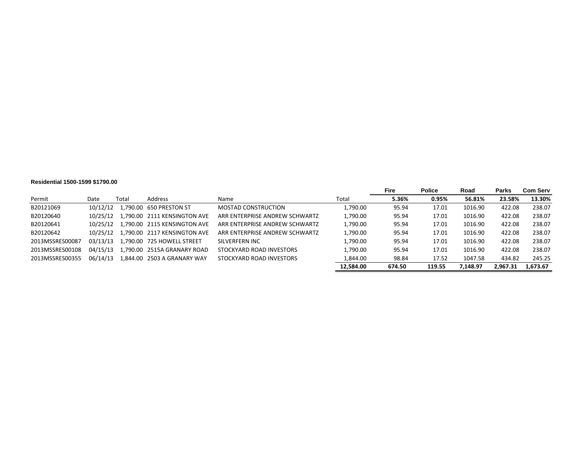#### **Residential 1500-1599 \$1790.00**

|                 |          |       |                              |                                |           | Fire   | <b>Police</b> | Road     | Parks    | <b>Com Serv</b> |
|-----------------|----------|-------|------------------------------|--------------------------------|-----------|--------|---------------|----------|----------|-----------------|
| Permit          | Date     | Total | Address                      | Name                           | Total     | 5.36%  | 0.95%         | 56.81%   | 23.58%   | 13.30%          |
| B20121069       | 10/12/12 |       | 1.790.00 650 PRESTON ST      | <b>MOSTAD CONSTRUCTION</b>     | 1,790.00  | 95.94  | 17.01         | 1016.90  | 422.08   | 238.07          |
| B20120640       | 10/25/12 |       | 790.00 2111 KENSINGTON AVE   | ARR ENTERPRISE ANDREW SCHWARTZ | 1,790.00  | 95.94  | 17.01         | 1016.90  | 422.08   | 238.07          |
| B20120641       | 10/25/12 |       | 1.790.00 2115 KENSINGTON AVE | ARR ENTERPRISE ANDREW SCHWARTZ | 1,790.00  | 95.94  | 17.01         | 1016.90  | 422.08   | 238.07          |
| B20120642       | 10/25/12 |       | 1.790.00 2117 KENSINGTON AVE | ARR ENTERPRISE ANDREW SCHWARTZ | 1,790.00  | 95.94  | 17.01         | 1016.90  | 422.08   | 238.07          |
| 2013MSSRES00087 | 03/13/13 |       | 1.790.00 725 HOWELL STREET   | SILVERFERN INC                 | 1,790.00  | 95.94  | 17.01         | 1016.90  | 422.08   | 238.07          |
| 2013MSSRES00108 | 04/15/13 |       | 1.790.00 2515A GRANARY ROAD  | STOCKYARD ROAD INVESTORS       | 1,790.00  | 95.94  | 17.01         | 1016.90  | 422.08   | 238.07          |
| 2013MSSRES00355 | 06/14/13 |       | L.844.00 2503 A GRANARY WAY  | STOCKYARD ROAD INVESTORS       | 1.844.00  | 98.84  | 17.52         | 1047.58  | 434.82   | 245.25          |
|                 |          |       |                              |                                | 12.584.00 | 674.50 | 119.55        | 7.148.97 | 2.967.31 | 1,673.67        |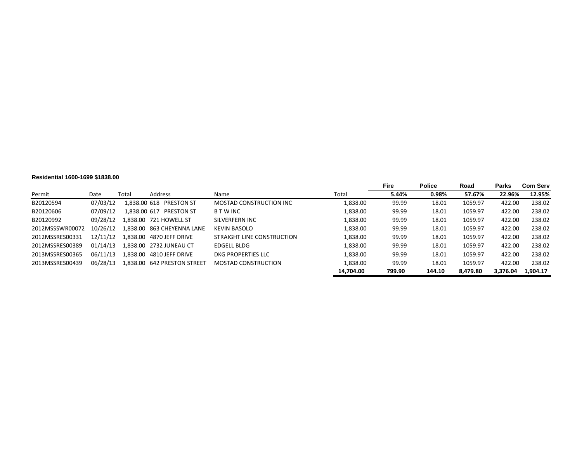#### **Residential 1600-1699 \$1838.00**

|                 |          |          |                            |                            |           | Fire   | <b>Police</b> | Road     | <b>Parks</b> | <b>Com Serv</b> |
|-----------------|----------|----------|----------------------------|----------------------------|-----------|--------|---------------|----------|--------------|-----------------|
| Permit          | Date     | Total    | Address                    | Name                       | Total     | 5.44%  | 0.98%         | 57.67%   | 22.96%       | 12.95%          |
| B20120594       | 07/03/12 |          | 1.838.00 618 PRESTON ST    | MOSTAD CONSTRUCTION INC    | 1,838.00  | 99.99  | 18.01         | 1059.97  | 422.00       | 238.02          |
| B20120606       | 07/09/12 |          | 1,838.00 617 PRESTON ST    | <b>BTWINC</b>              | 1,838.00  | 99.99  | 18.01         | 1059.97  | 422.00       | 238.02          |
| B20120992       | 09/28/12 |          | 1.838.00 721 HOWELL ST     | SILVERFERN INC             | 1,838.00  | 99.99  | 18.01         | 1059.97  | 422.00       | 238.02          |
| 2012MSSSWR00072 | 10/26/12 |          | 1,838.00 863 CHEYENNA LANE | <b>KEVIN BASOLO</b>        | 1,838.00  | 99.99  | 18.01         | 1059.97  | 422.00       | 238.02          |
| 2012MSSRES00331 | 12/11/12 |          |                            | STRAIGHT LINE CONSTRUCTION | 1,838.00  | 99.99  | 18.01         | 1059.97  | 422.00       | 238.02          |
| 2012MSSRES00389 | 01/14/13 |          | 1,838.00 2732 JUNEAU CT    | EDGELL BLDG                | 1,838.00  | 99.99  | 18.01         | 1059.97  | 422.00       | 238.02          |
| 2013MSSRES00365 | 06/11/13 | L.838.00 | 4810 JEFF DRIVE            | DKG PROPERTIES LLC         | 1.838.00  | 99.99  | 18.01         | 1059.97  | 422.00       | 238.02          |
| 2013MSSRES00439 | 06/28/13 |          |                            | <b>MOSTAD CONSTRUCTION</b> | 1,838.00  | 99.99  | 18.01         | 1059.97  | 422.00       | 238.02          |
|                 |          |          |                            |                            | 14,704.00 | 799.90 | 144.10        | 8,479.80 | 3.376.04     | 1,904.17        |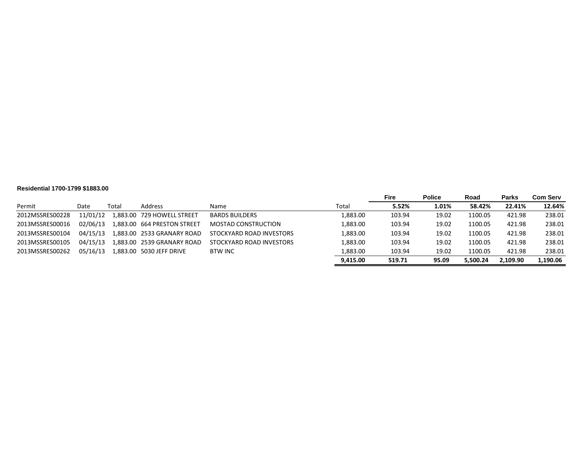#### **Residential 1700-1799 \$1883.00**

|                 |          |       |                             |                          |          | <b>Fire</b> | <b>Police</b> | Road     | <b>Parks</b> | Com Serv |
|-----------------|----------|-------|-----------------------------|--------------------------|----------|-------------|---------------|----------|--------------|----------|
| Permit          | Date     | Total | Address                     | Name                     | Total    | 5.52%       | 1.01%         | 58.42%   | 22.41%       | 12.64%   |
| 2012MSSRES00228 | 11/01/12 |       | 1.883.00 729 HOWELL STREET  | <b>BARDS BUILDERS</b>    | 1,883.00 | 103.94      | 19.02         | 1100.05  | 421.98       | 238.01   |
| 2013MSSRES00016 | 02/06/13 |       | 1.883.00 664 PRESTON STREET | MOSTAD CONSTRUCTION      | .883.00  | 103.94      | 19.02         | 1100.05  | 421.98       | 238.01   |
| 2013MSSRES00104 | 04/15/13 |       | 1.883.00 2533 GRANARY ROAD  | STOCKYARD ROAD INVESTORS | .883.00  | 103.94      | 19.02         | 1100.05  | 421.98       | 238.01   |
| 2013MSSRES00105 | 04/15/13 |       | 1,883.00 2539 GRANARY ROAD  | STOCKYARD ROAD INVESTORS | .883.00  | 103.94      | 19.02         | 1100.05  | 421.98       | 238.01   |
| 2013MSSRES00262 | 05/16/13 |       | 1,883.00 5030 JEFF DRIVE    | BTW INC                  | .883.00  | 103.94      | 19.02         | 1100.05  | 421.98       | 238.01   |
|                 |          |       |                             |                          | 9.415.00 | 519.71      | 95.09         | 5.500.24 | 2.109.90     | 1.190.06 |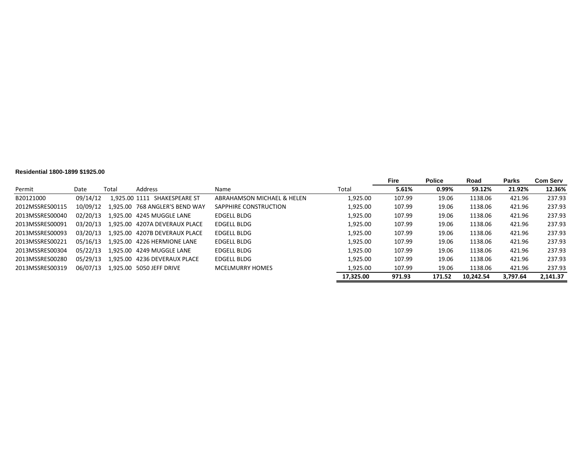#### **Residential 1800-1899 \$1925.00**

|                 |          |               |                                |                            |           | Fire   | <b>Police</b> | Road      | <b>Parks</b> | <b>Com Serv</b> |
|-----------------|----------|---------------|--------------------------------|----------------------------|-----------|--------|---------------|-----------|--------------|-----------------|
| Permit          | Date     | Total         | Address                        | Name                       | Total     | 5.61%  | 0.99%         | 59.12%    | 21.92%       | 12.36%          |
| B20121000       | 09/14/12 | 1.925.00 1111 | SHAKESPEARE ST                 | ABRAHAMSON MICHAEL & HELEN | 1.925.00  | 107.99 | 19.06         | 1138.06   | 421.96       | 237.93          |
| 2012MSSRES00115 | 10/09/12 |               | 1.925.00 768 ANGLER'S BEND WAY | SAPPHIRE CONSTRUCTION      | 1.925.00  | 107.99 | 19.06         | 1138.06   | 421.96       | 237.93          |
| 2013MSSRES00040 | 02/20/13 |               | 1.925.00 4245 MUGGLE LANE      | <b>EDGELL BLDG</b>         | 1,925.00  | 107.99 | 19.06         | 1138.06   | 421.96       | 237.93          |
| 2013MSSRES00091 | 03/20/13 |               | 1.925.00 4207A DEVERAUX PLACE  | EDGELL BLDG                | 1,925.00  | 107.99 | 19.06         | 1138.06   | 421.96       | 237.93          |
| 2013MSSRES00093 | 03/20/13 |               | 1.925.00 4207B DEVERAUX PLACE  | <b>EDGELL BLDG</b>         | 1.925.00  | 107.99 | 19.06         | 1138.06   | 421.96       | 237.93          |
| 2013MSSRES00221 | 05/16/13 |               | 1.925.00 4226 HERMIONE LANE    | <b>EDGELL BLDG</b>         | 1.925.00  | 107.99 | 19.06         | 1138.06   | 421.96       | 237.93          |
| 2013MSSRES00304 | 05/22/13 |               | 1.925.00 4249 MUGGLE LANE      | <b>EDGELL BLDG</b>         | 1.925.00  | 107.99 | 19.06         | 1138.06   | 421.96       | 237.93          |
| 2013MSSRES00280 | 05/29/13 |               | 1.925.00 4236 DEVERAUX PLACE   | EDGELL BLDG                | 1.925.00  | 107.99 | 19.06         | 1138.06   | 421.96       | 237.93          |
| 2013MSSRES00319 | 06/07/13 |               | 1,925.00 5050 JEFF DRIVE       | <b>MCELMURRY HOMES</b>     | 1,925.00  | 107.99 | 19.06         | 1138.06   | 421.96       | 237.93          |
|                 |          |               |                                |                            | 17.325.00 | 971.93 | 171.52        | 10.242.54 | 3,797.64     | 2.141.37        |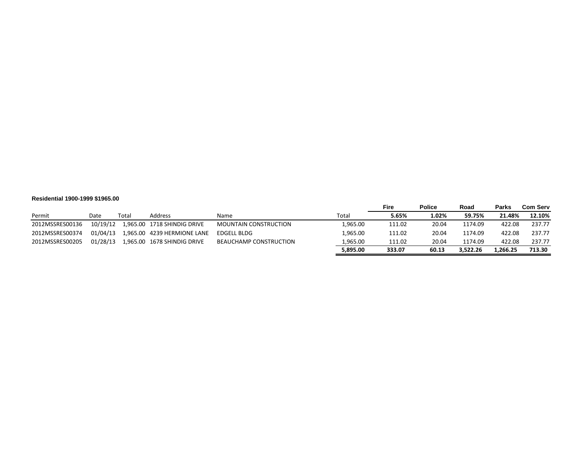#### **Residential 1900-1999 \$1965.00**

|                 |          |       |                             |                              |          | Fire   | <b>Police</b> | Road     | <b>Parks</b> | <b>Com Serv</b> |
|-----------------|----------|-------|-----------------------------|------------------------------|----------|--------|---------------|----------|--------------|-----------------|
| Permit          | Date     | Total | Address                     | Name                         | Total    | 5.65%  | 1.02%         | 59.75%   | 21.48%       | 12.10%          |
| 2012MSSRES00136 | 10/19/12 |       | 1,965.00 1718 SHINDIG DRIVE | <b>MOUNTAIN CONSTRUCTION</b> | 1,965.00 | 111.02 | 20.04         | 1174.09  | 422.08       | 237.77          |
| 2012MSSRES00374 | 01/04/13 |       |                             | EDGELL BLDG                  | 1.965.00 | 111.02 | 20.04         | 1174.09  | 422.08       | 237.77          |
| 2012MSSRES00205 | 01/28/13 |       |                             | BEAUCHAMP CONSTRUCTION       | 1,965.00 | 111.02 | 20.04         | 1174.09  | 422.08       | 237.77          |
|                 |          |       |                             |                              | 5.895.00 | 333.07 | 60.13         | 3.522.26 | 1.266.25     | 713.30          |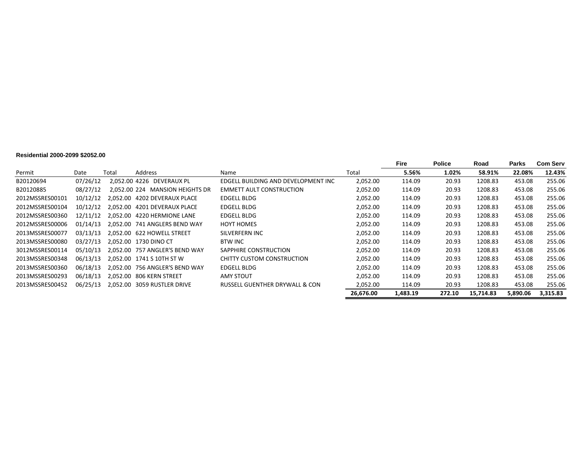#### **Residential 2000-2099 \$2052.00**

|                 |          |       |                                 |                                     |           | <b>Fire</b> | <b>Police</b> | Road      | Parks    | <b>Com Serv</b> |
|-----------------|----------|-------|---------------------------------|-------------------------------------|-----------|-------------|---------------|-----------|----------|-----------------|
| Permit          | Date     | Total | Address                         | Name                                | Total     | 5.56%       | 1.02%         | 58.91%    | 22.08%   | 12.43%          |
| B20120694       | 07/26/12 |       | 2.052.00 4226 DEVERAUX PL       | EDGELL BUILDING AND DEVELOPMENT INC | 2,052.00  | 114.09      | 20.93         | 1208.83   | 453.08   | 255.06          |
| B20120885       | 08/27/12 |       | 2,052.00 224 MANSION HEIGHTS DR | <b>EMMETT AULT CONSTRUCTION</b>     | 2,052.00  | 114.09      | 20.93         | 1208.83   | 453.08   | 255.06          |
| 2012MSSRES00101 | 10/12/12 |       | 2.052.00 4202 DEVERAUX PLACE    | EDGELL BLDG                         | 2,052.00  | 114.09      | 20.93         | 1208.83   | 453.08   | 255.06          |
| 2012MSSRES00104 | 10/12/12 |       | 2.052.00 4201 DEVERAUX PLACE    | EDGELL BLDG                         | 2,052.00  | 114.09      | 20.93         | 1208.83   | 453.08   | 255.06          |
| 2012MSSRES00360 | 12/11/12 |       | 2.052.00 4220 HERMIONE LANE     | EDGELL BLDG                         | 2,052.00  | 114.09      | 20.93         | 1208.83   | 453.08   | 255.06          |
| 2012MSSRES00006 | 01/14/13 |       | 2.052.00 741 ANGLERS BEND WAY   | <b>HOYT HOMES</b>                   | 2,052.00  | 114.09      | 20.93         | 1208.83   | 453.08   | 255.06          |
| 2013MSSRES00077 | 03/13/13 |       | 2,052.00 622 HOWELL STREET      | SILVERFERN INC                      | 2,052.00  | 114.09      | 20.93         | 1208.83   | 453.08   | 255.06          |
| 2013MSSRES00080 | 03/27/13 |       | 2.052.00 1730 DINO CT           | BTW INC                             | 2,052.00  | 114.09      | 20.93         | 1208.83   | 453.08   | 255.06          |
| 3012MSSRES00114 | 05/10/13 |       | 2.052.00 757 ANGLER'S BEND WAY  | SAPPHIRE CONSTRUCTION               | 2,052.00  | 114.09      | 20.93         | 1208.83   | 453.08   | 255.06          |
| 2013MSSRES00348 | 06/13/13 |       | 2.052.00 1741 S 10TH ST W       | CHITTY CUSTOM CONSTRUCTION          | 2,052.00  | 114.09      | 20.93         | 1208.83   | 453.08   | 255.06          |
| 2013MSSRES00360 | 06/18/13 |       | 2.052.00 756 ANGLER'S BEND WAY  | EDGELL BLDG                         | 2,052.00  | 114.09      | 20.93         | 1208.83   | 453.08   | 255.06          |
| 2013MSSRES00293 | 06/18/13 |       | 2.052.00 806 KERN STREET        | <b>AMY STOUT</b>                    | 2,052.00  | 114.09      | 20.93         | 1208.83   | 453.08   | 255.06          |
| 2013MSSRES00452 | 06/25/13 |       | 2,052.00 3059 RUSTLER DRIVE     | RUSSELL GUENTHER DRYWALL & CON      | 2,052.00  | 114.09      | 20.93         | 1208.83   | 453.08   | 255.06          |
|                 |          |       |                                 |                                     | 26,676.00 | 1,483.19    | 272.10        | 15,714.83 | 5,890.06 | 3,315.83        |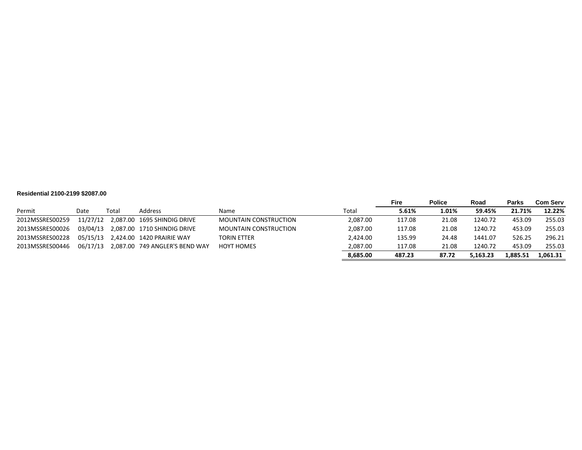#### **Residential 2100-2199 \$2087.00**

|                 |          |       |                                      |                              |          | <b>Fire</b> | <b>Police</b> | Road     | <b>Parks</b> | <b>Com Serv</b> |
|-----------------|----------|-------|--------------------------------------|------------------------------|----------|-------------|---------------|----------|--------------|-----------------|
| Permit          | Date     | Total | Address                              | <b>Name</b>                  | Total    | 5.61%       | 1.01%         | 59.45%   | 21.71%       | 12.22%          |
| 2012MSSRES00259 |          |       | 11/27/12 2,087.00 1695 SHINDIG DRIVE | <b>MOUNTAIN CONSTRUCTION</b> | 2.087.00 | 117.08      | 21.08         | 1240.72  | 453.09       | 255.03          |
| 2013MSSRES00026 | 03/04/13 |       | 2,087.00 1710 SHINDIG DRIVE          | <b>MOUNTAIN CONSTRUCTION</b> | 2,087.00 | 117.08      | 21.08         | 1240.72  | 453.09       | 255.03          |
| 2013MSSRES00228 | 05/15/13 |       | 2,424.00 1420 PRAIRIE WAY            | TORIN ETTER                  | 2.424.00 | 135.99      | 24.48         | 1441.07  | 526.25       | 296.21          |
| 2013MSSRES00446 | 06/17/13 |       | 2,087.00 749 ANGLER'S BEND WAY       | <b>HOYT HOMES</b>            | 2,087.00 | 117.08      | 21.08         | 1240.72  | 453.09       | 255.03          |
|                 |          |       |                                      |                              | 8,685.00 | 487.23      | 87.72         | 5.163.23 | 1,885.51     | 1,061.31        |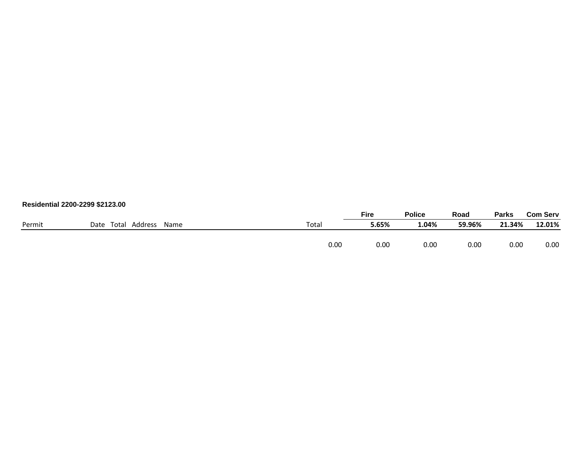| Residential 2200-2299 \$2123.00 |  |
|---------------------------------|--|
|---------------------------------|--|

|        |                               |       | <b>Fire</b> | <b>Police</b> | Road   | Parks  | <b>Com Serv</b> |
|--------|-------------------------------|-------|-------------|---------------|--------|--------|-----------------|
| Permit | Address<br>Date Total<br>Name | Total | 5.65%       | 1.04%         | 59.96% | 21.34% | 12.01%          |
|        |                               |       |             |               |        |        |                 |
|        |                               | 0.00  | 0.00        | $0.00\,$      | 0.00   | 0.00   | 0.00            |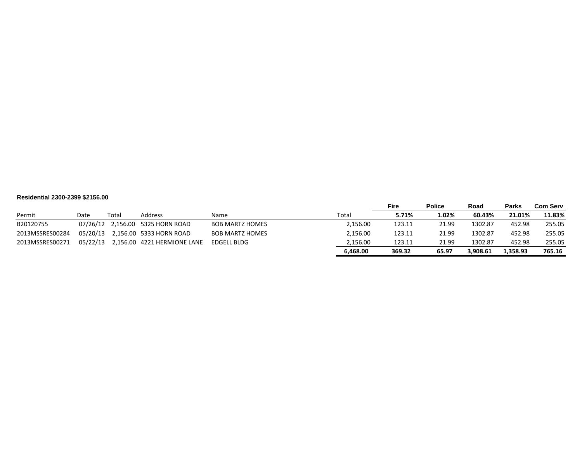#### **Residential 2300-2399 \$2156.00**

|                 |          |       |                                  |                        |          | Fire   | <b>Police</b> | Road     | <b>Parks</b> | Com Serv |
|-----------------|----------|-------|----------------------------------|------------------------|----------|--------|---------------|----------|--------------|----------|
| Permit          | Date     | Total | Address                          | Name                   | Total    | 5.71%  | 1.02%         | 60.43%   | 21.01%       | 11.83%   |
| B20120755       |          |       | 07/26/12 2,156.00 5325 HORN ROAD | <b>BOB MARTZ HOMES</b> | 2.156.00 | 123.11 | 21.99         | 1302.87  | 452.98       | 255.05   |
| 2013MSSRES00284 | 05/20/13 |       | 2,156.00 5333 HORN ROAD          | <b>BOB MARTZ HOMES</b> | 2.156.00 | 123.11 | 21.99         | 1302.87  | 452.98       | 255.05   |
| 2013MSSRES00271 | 05/22/13 |       | 2.156.00 4221 HERMIONE LANE      | <b>EDGELL BLDG</b>     | 2.156.00 | 123.11 | 21.99         | 1302.87  | 452.98       | 255.05   |
|                 |          |       |                                  |                        | 6.468.00 | 369.32 | 65.97         | 3.908.61 | 358.93.      | 765.16   |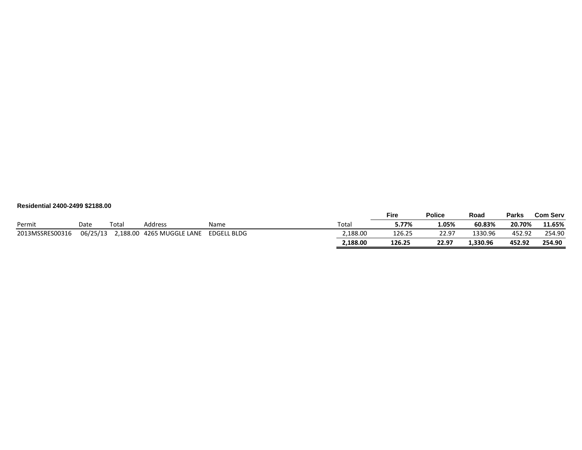| Residential 2400-2499 \$2188.00 |  |  |
|---------------------------------|--|--|
|                                 |  |  |

|                 |          |      |                           |             |          | Fire   | <b>Police</b> | Road     | <b>Parks</b> | <b>Com Serv</b> |
|-----------------|----------|------|---------------------------|-------------|----------|--------|---------------|----------|--------------|-----------------|
| Permit          | Date     | Tota | Address                   | Name        | Tota.    | 5.77%  | 1.05%         | 60.83%   | 20.70%       | 11.65%          |
| 2013MSSRES00316 | 06/25/13 |      | 2,188.00 4265 MUGGLE LANE | EDGELL BLDG | 2,188.00 | 126.25 | 22.97         | 1330.96  | 452.92       | 254.90          |
|                 |          |      |                           |             | 2.188.00 | 126.25 | 22.97         | 1.330.96 | 452.92       | 254.90          |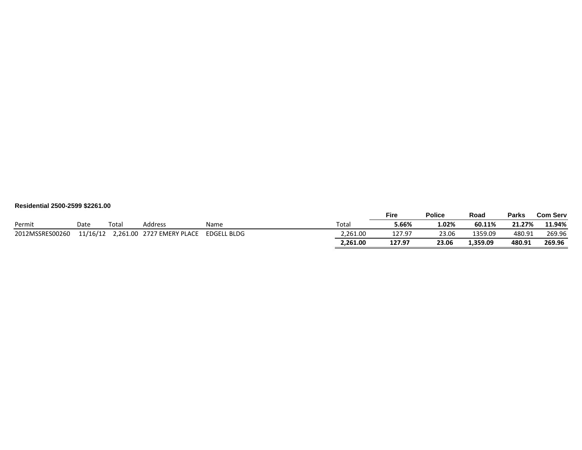| Residential 2500-2599 \$2261.00 |  |  |
|---------------------------------|--|--|
|                                 |  |  |

|                 |          |       |                           |             |          | <b>Fire</b> |        | <b>Police</b> | Road     | <b>Parks</b> | <b>Com Serv</b> |
|-----------------|----------|-------|---------------------------|-------------|----------|-------------|--------|---------------|----------|--------------|-----------------|
| Permit          | Date     | Total | <b>Address</b>            | Name        | Total    |             | 5.66%  | 3.02%         | 60.11%   | 21.27%       | 11.94%          |
| 2012MSSRES00260 | 11/16/12 |       | 2,261.00 2727 EMERY PLACE | EDGELL BLDG | 2,261.00 |             | 127.97 | 23.06         | 1359.09  | 480.91       | 269.96          |
|                 |          |       |                           |             | 2.261.00 | 127.97      |        | 23.06         | 1,359.09 | 480.91       | 269.96          |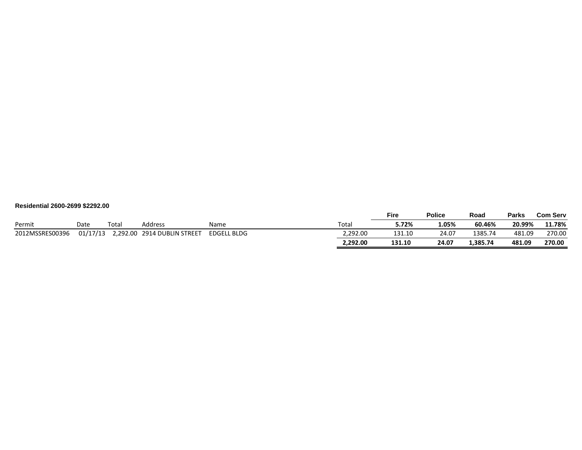| Residential 2600-2699 \$2292.00 |  |  |
|---------------------------------|--|--|
|                                 |  |  |

|                 |          |       |                             |             |          | <b>Fire</b> | <b>Police</b> | Road     | <b>Parks</b> | <b>Com Serv</b> |
|-----------------|----------|-------|-----------------------------|-------------|----------|-------------|---------------|----------|--------------|-----------------|
| Permit          | Date     | Total | Address                     | Name        | Total    | 5.72%       | 1.05%         | 60.46%   | 20.99%       | 11.78%          |
| 2012MSSRES00396 | 01/17/13 |       | 2,292.00 2914 DUBLIN STREET | EDGELL BLDG | 2.292.00 | 131.10      | 24.07         | 1385.74  | 481.09       | 270.00          |
|                 |          |       |                             |             | 2,292.00 | 131.10      | 24.07         | 1,385.74 | 481.09       | 270.00          |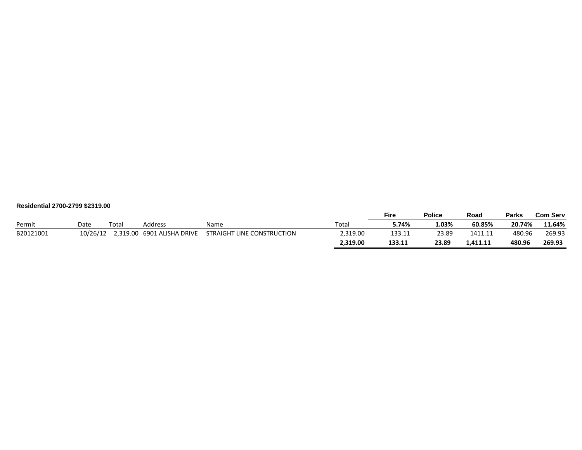| Residential 2700-2799 \$2319.00 |  |  |
|---------------------------------|--|--|
|                                 |  |  |

|           |          |       |                            |                            |          | <b>Fire</b> | <b>Police</b> | Road     | Parks  | <b>Com Serv</b> |
|-----------|----------|-------|----------------------------|----------------------------|----------|-------------|---------------|----------|--------|-----------------|
| Permit    | Date     | Total | Address                    | Name                       | Total    | 5.74%       | 1.03%         | 60.85%   | 20.74% | 11.64%          |
| B20121001 | 10/26/12 |       | 2,319.00 6901 ALISHA DRIVE | STRAIGHT LINE CONSTRUCTION | 2.319.00 | 133.11      | 23.89         | 1411.11  | 480.96 | 269.93          |
|           |          |       |                            |                            | 2.319.00 | 133.11      | 23.89         | 1.411.11 | 480.96 | 269.93          |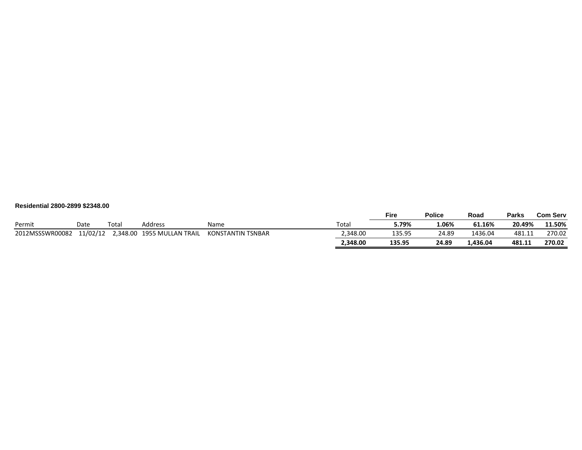| Residential 2800-2899 \$2348.00 |  |  |
|---------------------------------|--|--|
|                                 |  |  |

|                 |          |       |                            |                   |          | Fire   | <b>Police</b> | Road     | Parks  | <b>Com Serv</b> |
|-----------------|----------|-------|----------------------------|-------------------|----------|--------|---------------|----------|--------|-----------------|
| Permit          | Date     | Total | Address                    | Name              | Total    | 5.79%  | 1.06%         | 61.16%   | 20.49% | 11.50%          |
| 2012MSSSWR00082 | 11/02/12 |       | 2,348.00 1955 MULLAN TRAIL | KONSTANTIN TSNBAR | 2,348.00 | 135.95 | 24.89         | 1436.04  | 481.1」 | 270.02          |
|                 |          |       |                            |                   | 2,348.00 | 135.95 | 24.89         | 1.436.04 | 481.11 | 270.02          |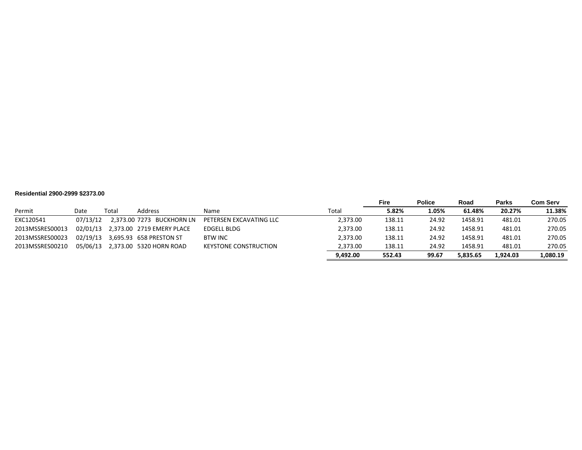#### **Residential 2900-2999 \$2373.00**

|                 |          |       |                           |                              |          | Fire   | <b>Police</b> | Road     | <b>Parks</b> | Com Serv |
|-----------------|----------|-------|---------------------------|------------------------------|----------|--------|---------------|----------|--------------|----------|
| Permit          | Date     | Total | Address                   | Name                         | Total    | 5.82%  | 1.05%         | 61.48%   | 20.27%       | 11.38%   |
| EXC120541       | 07/13/12 |       | 2,373.00 7273 BUCKHORN LN | PETERSEN EXCAVATING LLC      | 2.373.00 | 138.11 | 24.92         | 1458.91  | 481.01       | 270.05   |
| 2013MSSRES00013 | 02/01/13 |       | 2,373.00 2719 EMERY PLACE | EDGELL BLDG                  | 2,373.00 | 138.11 | 24.92         | 1458.91  | 481.01       | 270.05   |
| 2013MSSRES00023 | 02/19/13 |       | 3,695.93 658 PRESTON ST   | <b>BTW INC</b>               | 2,373.00 | 138.11 | 24.92         | 1458.91  | 481.01       | 270.05   |
| 2013MSSRES00210 | 05/06/13 |       | 2,373.00 5320 HORN ROAD   | <b>KEYSTONE CONSTRUCTION</b> | 2,373.00 | 138.11 | 24.92         | 1458.91  | 481.01       | 270.05   |
|                 |          |       |                           |                              | 9,492.00 | 552.43 | 99.67         | 5.835.65 | 1.924.03     | 1,080.19 |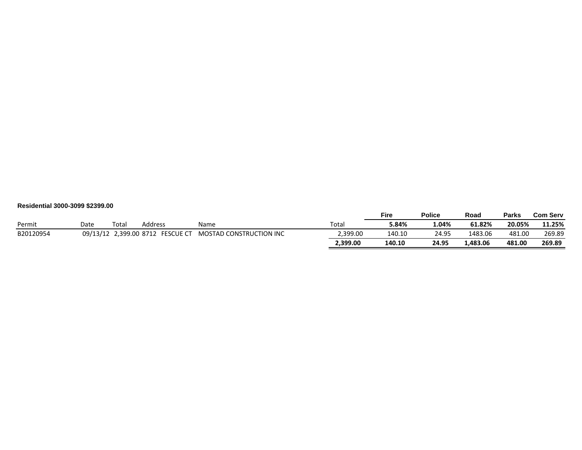| Residential 3000-3099 \$2399.00 |  |  |
|---------------------------------|--|--|
|                                 |  |  |

|           |      |       |                                  |                                |          | Fire   | <b>Police</b> | Road     | <b>Parks</b> | <b>Com Serv</b> |
|-----------|------|-------|----------------------------------|--------------------------------|----------|--------|---------------|----------|--------------|-----------------|
| Permit    | Date | Total | Address                          | Name                           | Total    | 5.84%  | 1.04%         | 61.82%   | 20.05%       | 11.25%          |
| B20120954 |      |       | 09/13/12 2.399.00 8712 FESCUE CT | <b>MOSTAD CONSTRUCTION INC</b> | 2,399.00 | 140.10 | 24.95         | 1483.06  | 481.00       | 269.89          |
|           |      |       |                                  |                                | 2,399.00 | 140.10 | 24.95         | 1.483.06 | 481.00       | 269.89          |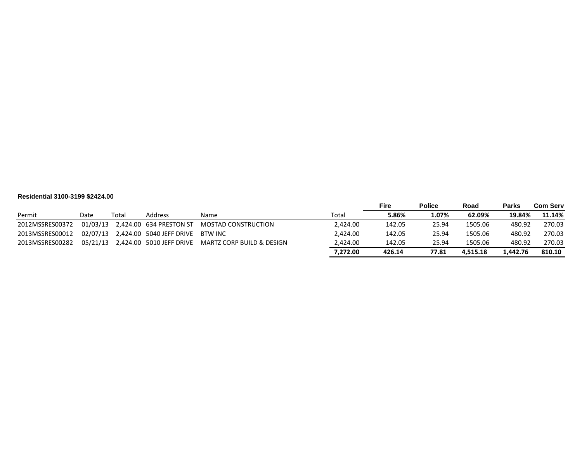#### **Residential 3100-3199 \$2424.00**

|                 |      |       |                                           |                                                             |          | <b>Fire</b> | <b>Police</b> | Road     | <b>Parks</b> | Com Serv |
|-----------------|------|-------|-------------------------------------------|-------------------------------------------------------------|----------|-------------|---------------|----------|--------------|----------|
| Permit          | Date | Total | Address                                   | Name                                                        | Total    | 5.86%       | 1.07%         | 62.09%   | 19.84%       | 11.14%   |
| 2012MSSRES00372 |      |       | 01/03/13 2,424.00 634 PRESTON ST          | MOSTAD CONSTRUCTION                                         | 2,424.00 | 142.05      | 25.94         | 1505.06  | 480.92       | 270.03   |
| 2013MSSRES00012 |      |       | 02/07/13 2,424.00 5040 JEFF DRIVE BTW INC |                                                             | 2.424.00 | 142.05      | 25.94         | 1505.06  | 480.92       | 270.03   |
| 2013MSSRES00282 |      |       |                                           | 05/21/13 2,424.00 5010 JEFF DRIVE MARTZ CORP BUILD & DESIGN | 2,424.00 | 142.05      | 25.94         | 1505.06  | 480.92       | 270.03   |
|                 |      |       |                                           |                                                             | 7,272.00 | 426.14      | 77.81         | 4.515.18 | 1.442.76     | 810.10   |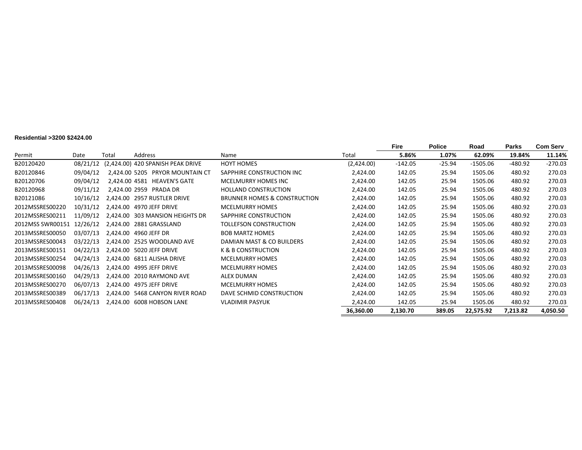#### **Residential >3200 \$2424.00**

|                  |          |       |                                   |                                         |            | Fire      | <b>Police</b> | Road       | <b>Parks</b> | <b>Com Serv</b> |
|------------------|----------|-------|-----------------------------------|-----------------------------------------|------------|-----------|---------------|------------|--------------|-----------------|
| Permit           | Date     | Total | Address                           | Name                                    | Total      | 5.86%     | 1.07%         | 62.09%     | 19.84%       | 11.14%          |
| B20120420        | 08/21/12 |       | (2,424.00) 420 SPANISH PEAK DRIVE | <b>HOYT HOMES</b>                       | (2,424.00) | $-142.05$ | $-25.94$      | $-1505.06$ | $-480.92$    | $-270.03$       |
| B20120846        | 09/04/12 |       | 2.424.00 5205 PRYOR MOUNTAIN CT   | SAPPHIRE CONSTRUCTION INC               | 2,424.00   | 142.05    | 25.94         | 1505.06    | 480.92       | 270.03          |
| B20120706        | 09/04/12 |       | 2,424.00 4581 HEAVEN'S GATE       | MCELMURRY HOMES INC                     | 2,424.00   | 142.05    | 25.94         | 1505.06    | 480.92       | 270.03          |
| B20120968        | 09/11/12 |       | 2,424.00 2959 PRADA DR            | <b>HOLLAND CONSTRUCTION</b>             | 2,424.00   | 142.05    | 25.94         | 1505.06    | 480.92       | 270.03          |
| B20121086        | 10/16/12 |       | 2,424.00 2957 RUSTLER DRIVE       | <b>BRUNNER HOMES &amp; CONSTRUCTION</b> | 2,424.00   | 142.05    | 25.94         | 1505.06    | 480.92       | 270.03          |
| 2012MSSRES00220  | 10/31/12 |       | 2,424.00 4970 JEFF DRIVE          | <b>MCELMURRY HOMES</b>                  | 2,424.00   | 142.05    | 25.94         | 1505.06    | 480.92       | 270.03          |
| 2012MSSRES00211  | 11/09/12 |       | 2,424.00 303 MANSION HEIGHTS DR   | SAPPHIRE CONSTRUCTION                   | 2,424.00   | 142.05    | 25.94         | 1505.06    | 480.92       | 270.03          |
| 2012MSS SWR00151 | 12/26/12 |       | 2,424.00 2881 GRASSLAND           | TOLLEFSON CONSTRUCTION                  | 2,424.00   | 142.05    | 25.94         | 1505.06    | 480.92       | 270.03          |
| 2013MSSRES00050  | 03/07/13 |       | 2,424.00 4960 JEFF DR             | <b>BOB MARTZ HOMES</b>                  | 2,424.00   | 142.05    | 25.94         | 1505.06    | 480.92       | 270.03          |
| 2013MSSRES00043  | 03/22/13 |       | 2.424.00 2525 WOODLAND AVE        | DAMIAN MAST & CO BUILDERS               | 2,424.00   | 142.05    | 25.94         | 1505.06    | 480.92       | 270.03          |
| 2013MSSRES00151  | 04/22/13 |       | 2.424.00 5020 JEFF DRIVE          | <b>K &amp; B CONSTRUCTION</b>           | 2,424.00   | 142.05    | 25.94         | 1505.06    | 480.92       | 270.03          |
| 2013MSSRES00254  | 04/24/13 |       | 2,424.00 6811 ALISHA DRIVE        | <b>MCELMURRY HOMES</b>                  | 2,424.00   | 142.05    | 25.94         | 1505.06    | 480.92       | 270.03          |
| 2013MSSRES00098  | 04/26/13 |       | 2,424.00 4995 JEFF DRIVE          | <b>MCELMURRY HOMES</b>                  | 2,424.00   | 142.05    | 25.94         | 1505.06    | 480.92       | 270.03          |
| 2013MSSRES00160  | 04/29/13 |       | 2,424.00 2010 RAYMOND AVE         | <b>ALEX DUMAN</b>                       | 2,424.00   | 142.05    | 25.94         | 1505.06    | 480.92       | 270.03          |
| 2013MSSRES00270  | 06/07/13 |       | 2,424.00 4975 JEFF DRIVE          | <b>MCELMURRY HOMES</b>                  | 2,424.00   | 142.05    | 25.94         | 1505.06    | 480.92       | 270.03          |
| 2013MSSRES00389  | 06/17/13 |       | 2,424.00 5468 CANYON RIVER ROAD   | DAVE SCHMID CONSTRUCTION                | 2,424.00   | 142.05    | 25.94         | 1505.06    | 480.92       | 270.03          |
| 2013MSSRES00408  | 06/24/13 |       | 2,424.00 6008 HOBSON LANE         | <b>VLADIMIR PASYUK</b>                  | 2,424.00   | 142.05    | 25.94         | 1505.06    | 480.92       | 270.03          |
|                  |          |       |                                   |                                         | 36,360.00  | 2,130.70  | 389.05        | 22,575.92  | 7,213.82     | 4,050.50        |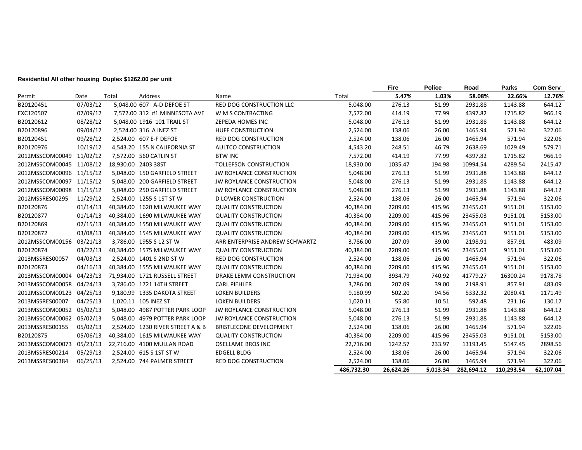#### **Residential All other housing Duplex \$1262.00 per unit**

|                          |          |       |                                  |                                 |            | Fire      | <b>Police</b> | Road       | Parks      | <b>Com Serv</b> |
|--------------------------|----------|-------|----------------------------------|---------------------------------|------------|-----------|---------------|------------|------------|-----------------|
| Permit                   | Date     | Total | Address                          | Name                            | Total      | 5.47%     | 1.03%         | 58.08%     | 22.66%     | 12.76%          |
| B20120451                | 07/03/12 |       | 5,048.00 607 A-D DEFOE ST        | <b>RED DOG CONSTRUCTION LLC</b> | 5,048.00   | 276.13    | 51.99         | 2931.88    | 1143.88    | 644.12          |
| EXC120507                | 07/09/12 |       | 7,572.00 312 #1 MINNESOTA AVE    | W M S CONTRACTING               | 7,572.00   | 414.19    | 77.99         | 4397.82    | 1715.82    | 966.19          |
| B20120612                | 08/28/12 |       | 5,048.00 1916 101 TRAIL ST       | ZEPEDA HOMES INC                | 5,048.00   | 276.13    | 51.99         | 2931.88    | 1143.88    | 644.12          |
| B20120896                | 09/04/12 |       | 2,524.00 316 A INEZ ST           | <b>HUFF CONSTRUCTION</b>        | 2,524.00   | 138.06    | 26.00         | 1465.94    | 571.94     | 322.06          |
| B20120451                | 09/28/12 |       | 2,524.00 607 E-F DEFOE           | <b>RED DOG CONSTRUCTION</b>     | 2,524.00   | 138.06    | 26.00         | 1465.94    | 571.94     | 322.06          |
| B20120976                | 10/19/12 |       | 4,543.20 155 N CALIFORNIA ST     | AULTCO CONSTRUCTION             | 4,543.20   | 248.51    | 46.79         | 2638.69    | 1029.49    | 579.71          |
| 2012MSSCOM00049          | 11/02/12 |       | 7,572.00 560 CATLIN ST           | <b>BTW INC</b>                  | 7,572.00   | 414.19    | 77.99         | 4397.82    | 1715.82    | 966.19          |
| 2012MSSCOM00045          | 11/08/12 |       | 18,930.00 2403 38ST              | <b>TOLLEFSON CONSTRUCTION</b>   | 18,930.00  | 1035.47   | 194.98        | 10994.54   | 4289.54    | 2415.47         |
| 2012MSSCOM00096          | 11/15/12 |       | 5,048.00 150 GARFIELD STREET     | JW ROYLANCE CONSTRUCTION        | 5,048.00   | 276.13    | 51.99         | 2931.88    | 1143.88    | 644.12          |
| 2012MSSCOM00097 11/15/12 |          |       | 5.048.00 200 GARFIELD STREET     | <b>JW ROYLANCE CONSTRUCTION</b> | 5,048.00   | 276.13    | 51.99         | 2931.88    | 1143.88    | 644.12          |
| 2012MSSCOM00098 11/15/12 |          |       | 5,048.00 250 GARFIELD STREET     | JW ROYLANCE CONSTRUCTION        | 5,048.00   | 276.13    | 51.99         | 2931.88    | 1143.88    | 644.12          |
| 2012MSSRES00295          | 11/29/12 |       | 2.524.00 1255 S 1ST ST W         | <b>D LOWER CONSTRUCTION</b>     | 2,524.00   | 138.06    | 26.00         | 1465.94    | 571.94     | 322.06          |
| B20120876                | 01/14/13 |       | 40,384.00 1620 MILWAUKEE WAY     | <b>QUALITY CONSTRUCTION</b>     | 40,384.00  | 2209.00   | 415.96        | 23455.03   | 9151.01    | 5153.00         |
| B20120877                | 01/14/13 |       | 40,384.00 1690 MILWAUKEE WAY     | <b>QUALITY CONSTRUCTION</b>     | 40,384.00  | 2209.00   | 415.96        | 23455.03   | 9151.01    | 5153.00         |
| B20120869                | 02/15/13 |       | 40,384.00 1550 MILWAUKEE WAY     | <b>QUALITY CONSTRUCTION</b>     | 40,384.00  | 2209.00   | 415.96        | 23455.03   | 9151.01    | 5153.00         |
| B20120872                | 03/08/13 |       | 40,384.00 1545 MILWAUKEE WAY     | <b>QUALITY CONSTRUCTION</b>     | 40,384.00  | 2209.00   | 415.96        | 23455.03   | 9151.01    | 5153.00         |
| 2012MSSCOM00156          | 03/21/13 |       | 3,786.00 1955 S 12 ST W          | ARR ENTERPRISE ANDREW SCHWARTZ  | 3,786.00   | 207.09    | 39.00         | 2198.91    | 857.91     | 483.09          |
| B20120874                | 03/22/13 |       | 40.384.00 1575 MILWAUKEE WAY     | <b>QUALITY CONSTRUCTION</b>     | 40,384.00  | 2209.00   | 415.96        | 23455.03   | 9151.01    | 5153.00         |
| 2013MSSRES00057          | 04/03/13 |       | 2,524.00 1401 S 2ND ST W         | RED DOG CONSTRUCTION            | 2,524.00   | 138.06    | 26.00         | 1465.94    | 571.94     | 322.06          |
| B20120873                | 04/16/13 |       | 40.384.00 1555 MILWAUKEE WAY     | <b>QUALITY CONSTRUCTION</b>     | 40,384.00  | 2209.00   | 415.96        | 23455.03   | 9151.01    | 5153.00         |
| 2013MSSCOM00004          | 04/23/13 |       | 71,934.00 1721 RUSSELL STREET    | DRAKE LEMM CONSTRUCTION         | 71,934.00  | 3934.79   | 740.92        | 41779.27   | 16300.24   | 9178.78         |
| 2013MSSCOM00058 04/24/13 |          |       | 3,786.00 1721 14TH STREET        | <b>CARL PIEHLER</b>             | 3,786.00   | 207.09    | 39.00         | 2198.91    | 857.91     | 483.09          |
| 2012MSSCOM00123          | 04/25/13 |       | 9,180.99 1335 DAKOTA STREET      | <b>LOKEN BUILDERS</b>           | 9,180.99   | 502.20    | 94.56         | 5332.32    | 2080.41    | 1171.49         |
| 2013MSSRES00007          | 04/25/13 |       | 1,020.11 105 INEZ ST             | <b>LOKEN BUILDERS</b>           | 1,020.11   | 55.80     | 10.51         | 592.48     | 231.16     | 130.17          |
| 2013MSSCOM00052          | 05/02/13 |       | 5,048.00 4987 POTTER PARK LOOP   | JW ROYLANCE CONSTRUCTION        | 5,048.00   | 276.13    | 51.99         | 2931.88    | 1143.88    | 644.12          |
| 2013MSSCOM00062          | 05/02/13 |       | 5,048.00 4979 POTTER PARK LOOP   | JW ROYLANCE CONSTRUCTION        | 5,048.00   | 276.13    | 51.99         | 2931.88    | 1143.88    | 644.12          |
| 2013MSSRES00155          | 05/02/13 |       | 2,524.00 1230 RIVER STREET A & B | BRISTLECONE DEVELOPMENT         | 2,524.00   | 138.06    | 26.00         | 1465.94    | 571.94     | 322.06          |
| B20120875                | 05/06/13 |       | 40.384.00 1615 MILWAUKEE WAY     | <b>QUALITY CONSTRUCTION</b>     | 40,384.00  | 2209.00   | 415.96        | 23455.03   | 9151.01    | 5153.00         |
| 2013MSSCOM00073          | 05/23/13 |       | 22,716.00 4100 MULLAN ROAD       | <b>OSELLAME BROS INC</b>        | 22,716.00  | 1242.57   | 233.97        | 13193.45   | 5147.45    | 2898.56         |
| 2013MSSRES00214          | 05/29/13 |       | 2,524.00 615 S 1ST ST W          | <b>EDGELL BLDG</b>              | 2,524.00   | 138.06    | 26.00         | 1465.94    | 571.94     | 322.06          |
| 2013MSSRES00384          | 06/25/13 |       | 2,524.00 744 PALMER STREET       | RED DOG CONSTRUCTION            | 2,524.00   | 138.06    | 26.00         | 1465.94    | 571.94     | 322.06          |
|                          |          |       |                                  |                                 | 486,732.30 | 26,624.26 | 5.013.34      | 282.694.12 | 110.293.54 | 62,107.04       |

 $\overline{\phantom{0}}$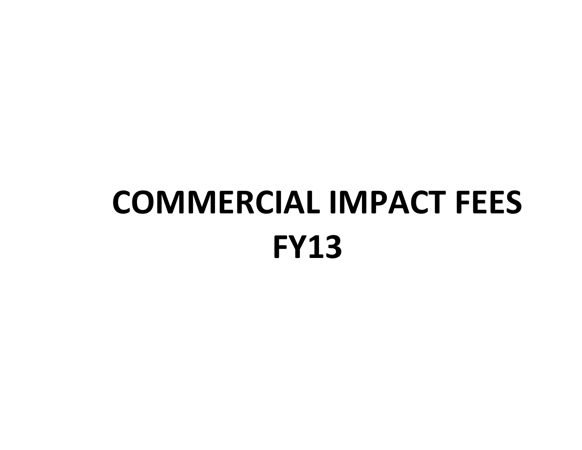# **COMMERCIAL IMPACT FEES FY13**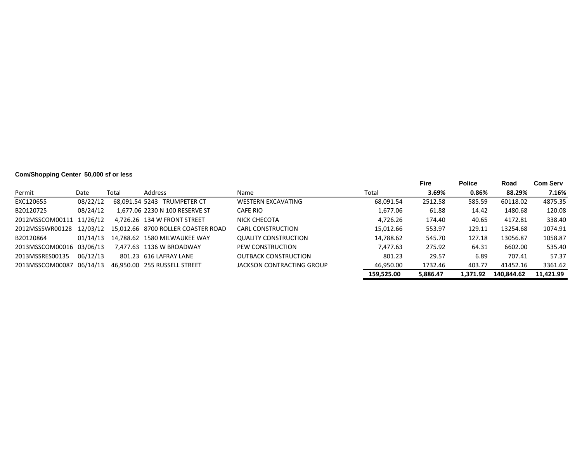# **Com/Shopping Center 50,000 sf or less**

|                 |          |       |                                    |                             |            | <b>Fire</b> | <b>Police</b> | Road       | <b>Com Serv</b> |
|-----------------|----------|-------|------------------------------------|-----------------------------|------------|-------------|---------------|------------|-----------------|
| Permit          | Date     | Total | Address                            | Name                        | Total      | 3.69%       | 0.86%         | 88.29%     | 7.16%           |
| EXC120655       | 08/22/12 |       | 68.091.54 5243 TRUMPETER CT        | <b>WESTERN EXCAVATING</b>   | 68,091.54  | 2512.58     | 585.59        | 60118.02   | 4875.35         |
| B20120725       | 08/24/12 |       | 1.677.06 2230 N 100 RESERVE ST     | CAFE RIO                    | 1.677.06   | 61.88       | 14.42         | 1480.68    | 120.08          |
| 2012MSSCOM00111 | 11/26/12 |       | 4.726.26 134 W FRONT STREET        | NICK CHECOTA                | 4,726.26   | 174.40      | 40.65         | 4172.81    | 338.40          |
| 2012MSSSWR00128 | 12/03/12 |       | 15.012.66 8700 ROLLER COASTER ROAD | CARL CONSTRUCTION           | 15.012.66  | 553.97      | 129.11        | 13254.68   | 1074.91         |
| B20120864       | 01/14/13 |       | 14.788.62 1580 MILWAUKEE WAY       | <b>QUALITY CONSTRUCTION</b> | 14,788.62  | 545.70      | 127.18        | 13056.87   | 1058.87         |
| 2013MSSCOM00016 | 03/06/13 |       | 7.477.63 1136 W BROADWAY           | PEW CONSTRUCTION            | 7,477.63   | 275.92      | 64.31         | 6602.00    | 535.40          |
| 2013MSSRES00135 | 06/12/13 |       | 801.23 616 LAFRAY LANE             | <b>OUTBACK CONSTRUCTION</b> | 801.23     | 29.57       | 6.89          | 707.41     | 57.37           |
| 2013MSSCOM00087 | 06/14/13 |       | 46,950.00 255 RUSSELL STREET       | JACKSON CONTRACTING GROUP   | 46.950.00  | 1732.46     | 403.77        | 41452.16   | 3361.62         |
|                 |          |       |                                    |                             | 159.525.00 | 5.886.47    | 1.371.92      | 140.844.62 | 11.421.99       |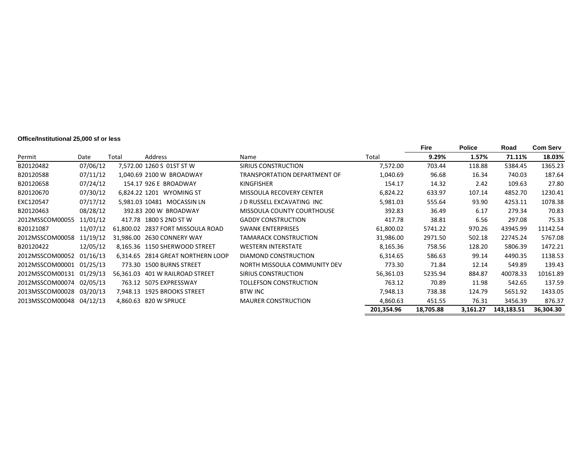#### **Office/Institutional 25,000 sf or less**

| Permit<br>Address<br>Total<br>9.29%<br>1.57%<br>71.11%<br>Total<br>Date<br>Name<br>07/06/12<br>118.88<br>B20120482<br>7,572.00 1260 S 01ST ST W<br>SIRIUS CONSTRUCTION<br>7,572.00<br>703.44<br>5384.45<br>07/11/12<br>B20120588<br>1.040.69 2100 W BROADWAY<br>1,040.69<br>96.68<br>16.34<br>740.03<br>TRANSPORTATION DEPARTMENT OF<br>07/24/12<br>B20120658<br>154.17 926 E BROADWAY<br>154.17<br>14.32<br>2.42<br>109.63<br><b>KINGFISHER</b><br>07/30/12<br>B20120670<br>6,824.22 1201 WYOMING ST<br>6,824.22<br>633.97<br>4852.70<br>MISSOULA RECOVERY CENTER<br>107.14<br>07/17/12<br>5.981.03 10481 MOCASSIN LN<br>J D RUSSELL EXCAVATING INC<br>93.90<br>4253.11<br>EXC120547<br>5,981.03<br>555.64<br>08/28/12<br>B20120463<br>392.83 200 W BROADWAY<br><b>MISSOULA COUNTY COURTHOUSE</b><br>392.83<br>36.49<br>6.17<br>279.34<br>11/01/12<br>2012MSSCOM00055<br>417.78 1800 S 2ND ST W<br><b>GADDY CONSTRUCTION</b><br>417.78<br>38.81<br>6.56<br>297.08<br>11/07/12<br><b>SWANK ENTERPRISES</b><br>5741.22<br>43945.99<br>B20121087<br>61.800.02 2837 FORT MISSOULA ROAD<br>61,800.02<br>970.26<br>11/19/12<br>2012MSSCOM00058<br>31,986.00 2630 CONNERY WAY<br><b>TAMARACK CONSTRUCTION</b><br>31,986.00<br>2971.50<br>502.18<br>22745.24<br>12/05/12<br>B20120422<br>8.165.36 1150 SHERWOOD STREET<br><b>WESTERN INTERSTATE</b><br>8,165.36<br>758.56<br>128.20<br>5806.39<br>01/16/13<br>2012MSSCOM00052<br>DIAMOND CONSTRUCTION<br>586.63<br>99.14<br>4490.35<br>6.314.65 2814 GREAT NORTHERN LOOP<br>6,314.65<br>2012MSSCOM00001<br>01/25/13<br>773.30 1500 BURNS STREET<br>773.30<br>NORTH MISSOULA COMMUNITY DEV<br>71.84<br>12.14<br>549.89<br>2012MSSCOM00131 01/29/13<br>5235.94<br>40078.33<br>56.361.03 401 W RAILROAD STREET<br>SIRIUS CONSTRUCTION<br>56,361.03<br>884.87<br>02/05/13<br>2012MSSCOM00074<br>763.12 5075 EXPRESSWAY<br>TOLLEFSON CONSTRUCTION<br>763.12<br>70.89<br>542.65<br>11.98<br>2013MSSCOM00028 03/20/13<br>7,948.13 1925 BROOKS STREET<br>738.38<br>124.79<br><b>BTW INC</b><br>7,948.13<br>5651.92<br>2013MSSCOM00048 04/12/13<br>4,860.63 820 W SPRUCE<br>451.55<br>76.31<br>3456.39<br><b>MAURER CONSTRUCTION</b><br>4,860.63<br>201,354.96<br>3,161.27<br>143,183.51<br>18,705.88 |  |  |  | Fire | <b>Police</b> | Road | Com Serv  |
|---------------------------------------------------------------------------------------------------------------------------------------------------------------------------------------------------------------------------------------------------------------------------------------------------------------------------------------------------------------------------------------------------------------------------------------------------------------------------------------------------------------------------------------------------------------------------------------------------------------------------------------------------------------------------------------------------------------------------------------------------------------------------------------------------------------------------------------------------------------------------------------------------------------------------------------------------------------------------------------------------------------------------------------------------------------------------------------------------------------------------------------------------------------------------------------------------------------------------------------------------------------------------------------------------------------------------------------------------------------------------------------------------------------------------------------------------------------------------------------------------------------------------------------------------------------------------------------------------------------------------------------------------------------------------------------------------------------------------------------------------------------------------------------------------------------------------------------------------------------------------------------------------------------------------------------------------------------------------------------------------------------------------------------------------------------------------------------------------------------------------------------------------------------------------------------------------------------------------------------|--|--|--|------|---------------|------|-----------|
|                                                                                                                                                                                                                                                                                                                                                                                                                                                                                                                                                                                                                                                                                                                                                                                                                                                                                                                                                                                                                                                                                                                                                                                                                                                                                                                                                                                                                                                                                                                                                                                                                                                                                                                                                                                                                                                                                                                                                                                                                                                                                                                                                                                                                                       |  |  |  |      |               |      | 18.03%    |
|                                                                                                                                                                                                                                                                                                                                                                                                                                                                                                                                                                                                                                                                                                                                                                                                                                                                                                                                                                                                                                                                                                                                                                                                                                                                                                                                                                                                                                                                                                                                                                                                                                                                                                                                                                                                                                                                                                                                                                                                                                                                                                                                                                                                                                       |  |  |  |      |               |      | 1365.23   |
|                                                                                                                                                                                                                                                                                                                                                                                                                                                                                                                                                                                                                                                                                                                                                                                                                                                                                                                                                                                                                                                                                                                                                                                                                                                                                                                                                                                                                                                                                                                                                                                                                                                                                                                                                                                                                                                                                                                                                                                                                                                                                                                                                                                                                                       |  |  |  |      |               |      | 187.64    |
|                                                                                                                                                                                                                                                                                                                                                                                                                                                                                                                                                                                                                                                                                                                                                                                                                                                                                                                                                                                                                                                                                                                                                                                                                                                                                                                                                                                                                                                                                                                                                                                                                                                                                                                                                                                                                                                                                                                                                                                                                                                                                                                                                                                                                                       |  |  |  |      |               |      | 27.80     |
|                                                                                                                                                                                                                                                                                                                                                                                                                                                                                                                                                                                                                                                                                                                                                                                                                                                                                                                                                                                                                                                                                                                                                                                                                                                                                                                                                                                                                                                                                                                                                                                                                                                                                                                                                                                                                                                                                                                                                                                                                                                                                                                                                                                                                                       |  |  |  |      |               |      | 1230.41   |
|                                                                                                                                                                                                                                                                                                                                                                                                                                                                                                                                                                                                                                                                                                                                                                                                                                                                                                                                                                                                                                                                                                                                                                                                                                                                                                                                                                                                                                                                                                                                                                                                                                                                                                                                                                                                                                                                                                                                                                                                                                                                                                                                                                                                                                       |  |  |  |      |               |      | 1078.38   |
|                                                                                                                                                                                                                                                                                                                                                                                                                                                                                                                                                                                                                                                                                                                                                                                                                                                                                                                                                                                                                                                                                                                                                                                                                                                                                                                                                                                                                                                                                                                                                                                                                                                                                                                                                                                                                                                                                                                                                                                                                                                                                                                                                                                                                                       |  |  |  |      |               |      | 70.83     |
|                                                                                                                                                                                                                                                                                                                                                                                                                                                                                                                                                                                                                                                                                                                                                                                                                                                                                                                                                                                                                                                                                                                                                                                                                                                                                                                                                                                                                                                                                                                                                                                                                                                                                                                                                                                                                                                                                                                                                                                                                                                                                                                                                                                                                                       |  |  |  |      |               |      | 75.33     |
|                                                                                                                                                                                                                                                                                                                                                                                                                                                                                                                                                                                                                                                                                                                                                                                                                                                                                                                                                                                                                                                                                                                                                                                                                                                                                                                                                                                                                                                                                                                                                                                                                                                                                                                                                                                                                                                                                                                                                                                                                                                                                                                                                                                                                                       |  |  |  |      |               |      | 11142.54  |
|                                                                                                                                                                                                                                                                                                                                                                                                                                                                                                                                                                                                                                                                                                                                                                                                                                                                                                                                                                                                                                                                                                                                                                                                                                                                                                                                                                                                                                                                                                                                                                                                                                                                                                                                                                                                                                                                                                                                                                                                                                                                                                                                                                                                                                       |  |  |  |      |               |      | 5767.08   |
|                                                                                                                                                                                                                                                                                                                                                                                                                                                                                                                                                                                                                                                                                                                                                                                                                                                                                                                                                                                                                                                                                                                                                                                                                                                                                                                                                                                                                                                                                                                                                                                                                                                                                                                                                                                                                                                                                                                                                                                                                                                                                                                                                                                                                                       |  |  |  |      |               |      | 1472.21   |
|                                                                                                                                                                                                                                                                                                                                                                                                                                                                                                                                                                                                                                                                                                                                                                                                                                                                                                                                                                                                                                                                                                                                                                                                                                                                                                                                                                                                                                                                                                                                                                                                                                                                                                                                                                                                                                                                                                                                                                                                                                                                                                                                                                                                                                       |  |  |  |      |               |      | 1138.53   |
|                                                                                                                                                                                                                                                                                                                                                                                                                                                                                                                                                                                                                                                                                                                                                                                                                                                                                                                                                                                                                                                                                                                                                                                                                                                                                                                                                                                                                                                                                                                                                                                                                                                                                                                                                                                                                                                                                                                                                                                                                                                                                                                                                                                                                                       |  |  |  |      |               |      | 139.43    |
|                                                                                                                                                                                                                                                                                                                                                                                                                                                                                                                                                                                                                                                                                                                                                                                                                                                                                                                                                                                                                                                                                                                                                                                                                                                                                                                                                                                                                                                                                                                                                                                                                                                                                                                                                                                                                                                                                                                                                                                                                                                                                                                                                                                                                                       |  |  |  |      |               |      | 10161.89  |
|                                                                                                                                                                                                                                                                                                                                                                                                                                                                                                                                                                                                                                                                                                                                                                                                                                                                                                                                                                                                                                                                                                                                                                                                                                                                                                                                                                                                                                                                                                                                                                                                                                                                                                                                                                                                                                                                                                                                                                                                                                                                                                                                                                                                                                       |  |  |  |      |               |      | 137.59    |
|                                                                                                                                                                                                                                                                                                                                                                                                                                                                                                                                                                                                                                                                                                                                                                                                                                                                                                                                                                                                                                                                                                                                                                                                                                                                                                                                                                                                                                                                                                                                                                                                                                                                                                                                                                                                                                                                                                                                                                                                                                                                                                                                                                                                                                       |  |  |  |      |               |      | 1433.05   |
|                                                                                                                                                                                                                                                                                                                                                                                                                                                                                                                                                                                                                                                                                                                                                                                                                                                                                                                                                                                                                                                                                                                                                                                                                                                                                                                                                                                                                                                                                                                                                                                                                                                                                                                                                                                                                                                                                                                                                                                                                                                                                                                                                                                                                                       |  |  |  |      |               |      | 876.37    |
|                                                                                                                                                                                                                                                                                                                                                                                                                                                                                                                                                                                                                                                                                                                                                                                                                                                                                                                                                                                                                                                                                                                                                                                                                                                                                                                                                                                                                                                                                                                                                                                                                                                                                                                                                                                                                                                                                                                                                                                                                                                                                                                                                                                                                                       |  |  |  |      |               |      | 36,304.30 |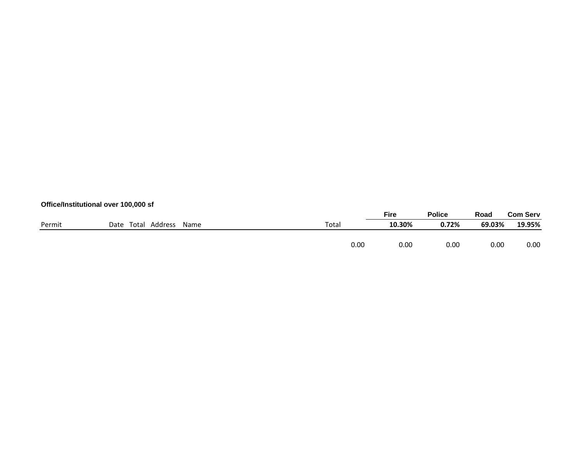# **Office/Institutional over 100,000 sf**

|        |                       |      |       | <b>Fire</b> | Police | Road   | <b>Com Serv</b> |
|--------|-----------------------|------|-------|-------------|--------|--------|-----------------|
| Permit | Total Address<br>Date | Name | Total | 10.30%      | 0.72%  | 69.03% | 19.95%          |
|        |                       |      |       |             |        |        |                 |
|        |                       |      | 0.00  | 0.00        | 0.00   | 0.00   | 0.00            |